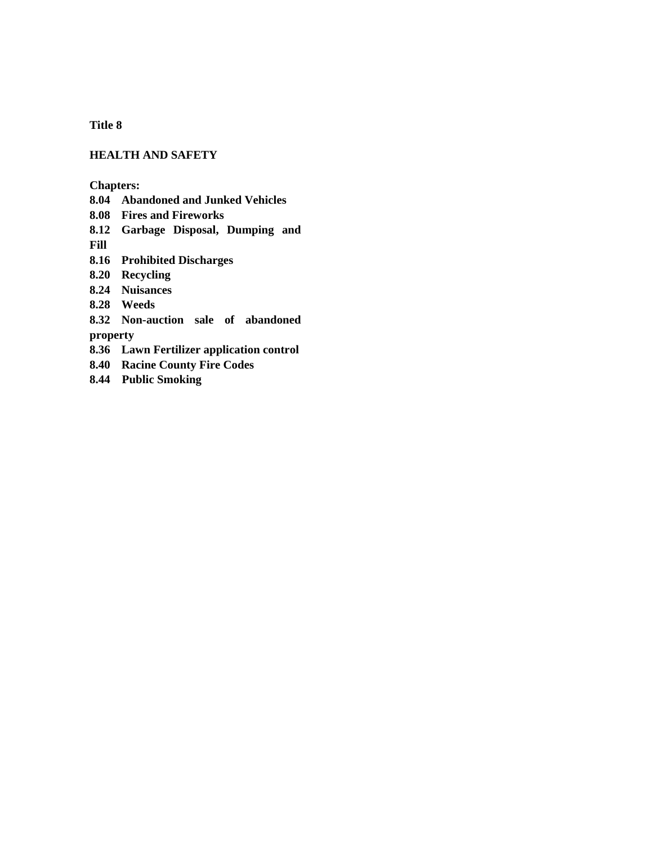**Title 8**

## **HEALTH AND SAFETY**

**Chapters:**

**8.04 Abandoned and Junked Vehicles**

**8.08 Fires and Fireworks**

**8.12 Garbage Disposal, Dumping and** 

**Fill**

**8.16 Prohibited Discharges**

**8.20 Recycling**

**8.24 Nuisances**

**8.28 Weeds**

**8.32 Non-auction sale of abandoned property**

**8.36 Lawn Fertilizer application control**

**8.40 Racine County Fire Codes**

**8.44 Public Smoking**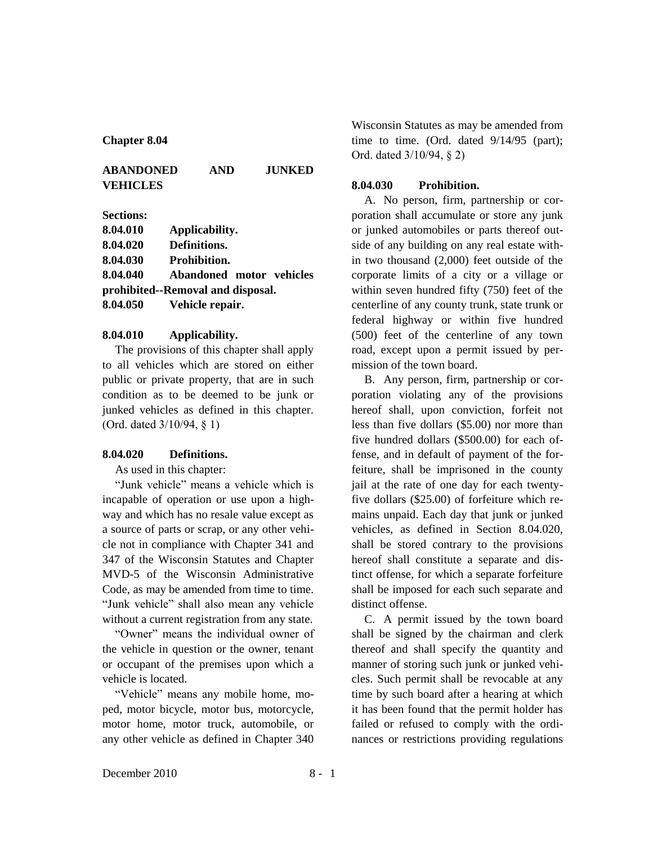#### **Chapter 8.04**

# **ABANDONED AND JUNKED VEHICLES**

### **Sections:**

| 8.04.010                          | Applicability.           |  |
|-----------------------------------|--------------------------|--|
| 8.04.020                          | Definitions.             |  |
| 8.04.030                          | <b>Prohibition.</b>      |  |
| 8.04.040                          | Abandoned motor vehicles |  |
| prohibited--Removal and disposal. |                          |  |
| 8.04.050                          | Vehicle repair.          |  |

### **8.04.010 Applicability.**

The provisions of this chapter shall apply to all vehicles which are stored on either public or private property, that are in such condition as to be deemed to be junk or junked vehicles as defined in this chapter. (Ord. dated 3/10/94, § 1)

#### **8.04.020 Definitions.**

As used in this chapter:

"Junk vehicle" means a vehicle which is incapable of operation or use upon a highway and which has no resale value except as a source of parts or scrap, or any other vehicle not in compliance with Chapter 341 and 347 of the Wisconsin Statutes and Chapter MVD-5 of the Wisconsin Administrative Code, as may be amended from time to time. "Junk vehicle" shall also mean any vehicle without a current registration from any state.

"Owner" means the individual owner of the vehicle in question or the owner, tenant or occupant of the premises upon which a vehicle is located.

"Vehicle" means any mobile home, moped, motor bicycle, motor bus, motorcycle, motor home, motor truck, automobile, or any other vehicle as defined in Chapter 340

Wisconsin Statutes as may be amended from time to time. (Ord. dated 9/14/95 (part); Ord. dated 3/10/94, § 2)

#### **8.04.030 Prohibition.**

A. No person, firm, partnership or corporation shall accumulate or store any junk or junked automobiles or parts thereof outside of any building on any real estate within two thousand (2,000) feet outside of the corporate limits of a city or a village or within seven hundred fifty (750) feet of the centerline of any county trunk, state trunk or federal highway or within five hundred (500) feet of the centerline of any town road, except upon a permit issued by permission of the town board.

B. Any person, firm, partnership or corporation violating any of the provisions hereof shall, upon conviction, forfeit not less than five dollars (\$5.00) nor more than five hundred dollars (\$500.00) for each offense, and in default of payment of the forfeiture, shall be imprisoned in the county jail at the rate of one day for each twentyfive dollars (\$25.00) of forfeiture which remains unpaid. Each day that junk or junked vehicles, as defined in Section 8.04.020, shall be stored contrary to the provisions hereof shall constitute a separate and distinct offense, for which a separate forfeiture shall be imposed for each such separate and distinct offense.

C. A permit issued by the town board shall be signed by the chairman and clerk thereof and shall specify the quantity and manner of storing such junk or junked vehicles. Such permit shall be revocable at any time by such board after a hearing at which it has been found that the permit holder has failed or refused to comply with the ordinances or restrictions providing regulations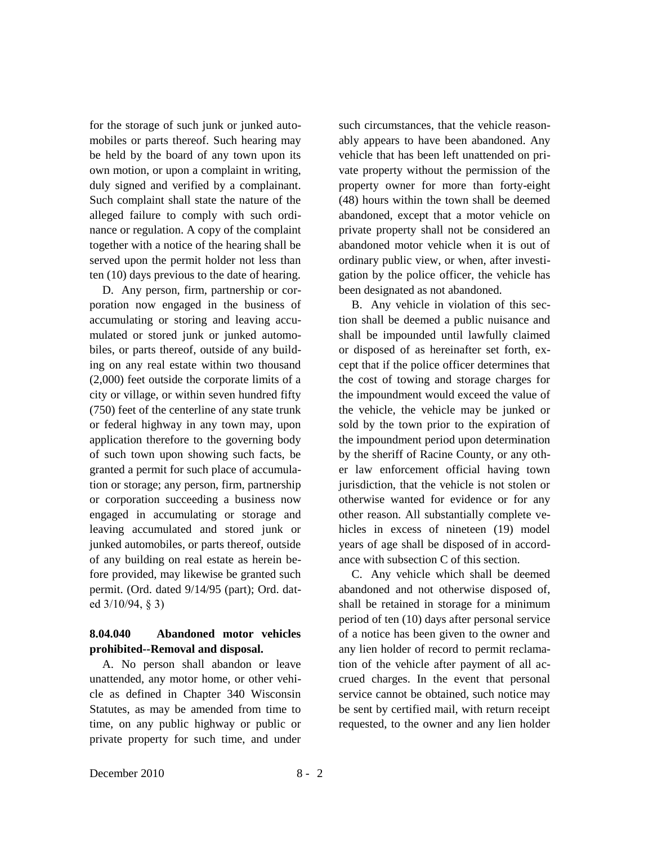for the storage of such junk or junked automobiles or parts thereof. Such hearing may be held by the board of any town upon its own motion, or upon a complaint in writing, duly signed and verified by a complainant. Such complaint shall state the nature of the alleged failure to comply with such ordinance or regulation. A copy of the complaint together with a notice of the hearing shall be served upon the permit holder not less than ten (10) days previous to the date of hearing.

D. Any person, firm, partnership or corporation now engaged in the business of accumulating or storing and leaving accumulated or stored junk or junked automobiles, or parts thereof, outside of any building on any real estate within two thousand (2,000) feet outside the corporate limits of a city or village, or within seven hundred fifty (750) feet of the centerline of any state trunk or federal highway in any town may, upon application therefore to the governing body of such town upon showing such facts, be granted a permit for such place of accumulation or storage; any person, firm, partnership or corporation succeeding a business now engaged in accumulating or storage and leaving accumulated and stored junk or junked automobiles, or parts thereof, outside of any building on real estate as herein before provided, may likewise be granted such permit. (Ord. dated 9/14/95 (part); Ord. dated 3/10/94, § 3)

# **8.04.040 Abandoned motor vehicles prohibited--Removal and disposal.**

A. No person shall abandon or leave unattended, any motor home, or other vehicle as defined in Chapter 340 Wisconsin Statutes, as may be amended from time to time, on any public highway or public or private property for such time, and under

such circumstances, that the vehicle reasonably appears to have been abandoned. Any vehicle that has been left unattended on private property without the permission of the property owner for more than forty-eight (48) hours within the town shall be deemed abandoned, except that a motor vehicle on private property shall not be considered an abandoned motor vehicle when it is out of ordinary public view, or when, after investigation by the police officer, the vehicle has been designated as not abandoned.

B. Any vehicle in violation of this section shall be deemed a public nuisance and shall be impounded until lawfully claimed or disposed of as hereinafter set forth, except that if the police officer determines that the cost of towing and storage charges for the impoundment would exceed the value of the vehicle, the vehicle may be junked or sold by the town prior to the expiration of the impoundment period upon determination by the sheriff of Racine County, or any other law enforcement official having town jurisdiction, that the vehicle is not stolen or otherwise wanted for evidence or for any other reason. All substantially complete vehicles in excess of nineteen (19) model years of age shall be disposed of in accordance with subsection C of this section.

C. Any vehicle which shall be deemed abandoned and not otherwise disposed of, shall be retained in storage for a minimum period of ten (10) days after personal service of a notice has been given to the owner and any lien holder of record to permit reclamation of the vehicle after payment of all accrued charges. In the event that personal service cannot be obtained, such notice may be sent by certified mail, with return receipt requested, to the owner and any lien holder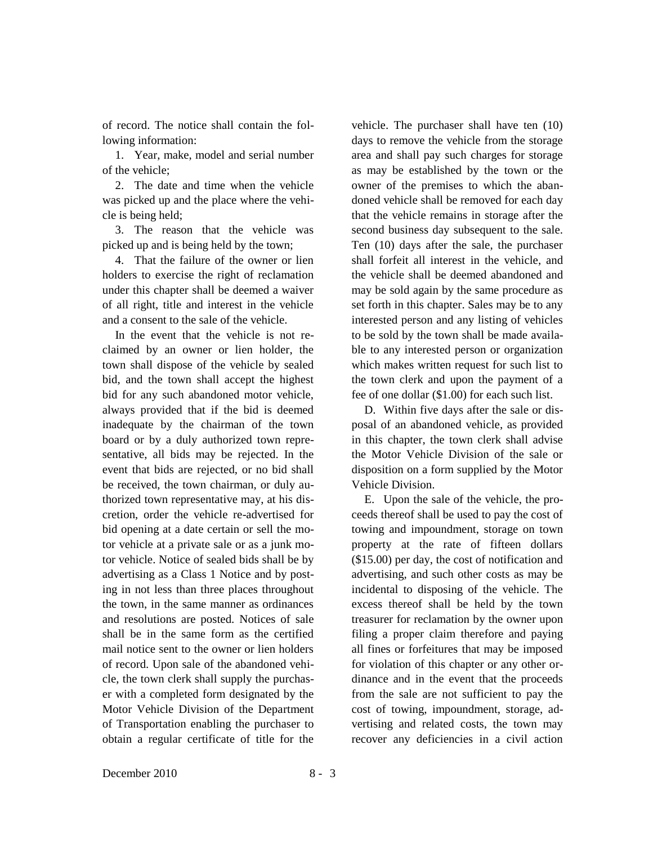of record. The notice shall contain the following information:

1. Year, make, model and serial number of the vehicle;

2. The date and time when the vehicle was picked up and the place where the vehicle is being held;

3. The reason that the vehicle was picked up and is being held by the town;

4. That the failure of the owner or lien holders to exercise the right of reclamation under this chapter shall be deemed a waiver of all right, title and interest in the vehicle and a consent to the sale of the vehicle.

In the event that the vehicle is not reclaimed by an owner or lien holder, the town shall dispose of the vehicle by sealed bid, and the town shall accept the highest bid for any such abandoned motor vehicle, always provided that if the bid is deemed inadequate by the chairman of the town board or by a duly authorized town representative, all bids may be rejected. In the event that bids are rejected, or no bid shall be received, the town chairman, or duly authorized town representative may, at his discretion, order the vehicle re-advertised for bid opening at a date certain or sell the motor vehicle at a private sale or as a junk motor vehicle. Notice of sealed bids shall be by advertising as a Class 1 Notice and by posting in not less than three places throughout the town, in the same manner as ordinances and resolutions are posted. Notices of sale shall be in the same form as the certified mail notice sent to the owner or lien holders of record. Upon sale of the abandoned vehicle, the town clerk shall supply the purchaser with a completed form designated by the Motor Vehicle Division of the Department of Transportation enabling the purchaser to obtain a regular certificate of title for the

vehicle. The purchaser shall have ten (10) days to remove the vehicle from the storage area and shall pay such charges for storage as may be established by the town or the owner of the premises to which the abandoned vehicle shall be removed for each day that the vehicle remains in storage after the second business day subsequent to the sale. Ten (10) days after the sale, the purchaser shall forfeit all interest in the vehicle, and the vehicle shall be deemed abandoned and may be sold again by the same procedure as set forth in this chapter. Sales may be to any interested person and any listing of vehicles to be sold by the town shall be made available to any interested person or organization which makes written request for such list to the town clerk and upon the payment of a fee of one dollar (\$1.00) for each such list.

D. Within five days after the sale or disposal of an abandoned vehicle, as provided in this chapter, the town clerk shall advise the Motor Vehicle Division of the sale or disposition on a form supplied by the Motor Vehicle Division.

E. Upon the sale of the vehicle, the proceeds thereof shall be used to pay the cost of towing and impoundment, storage on town property at the rate of fifteen dollars (\$15.00) per day, the cost of notification and advertising, and such other costs as may be incidental to disposing of the vehicle. The excess thereof shall be held by the town treasurer for reclamation by the owner upon filing a proper claim therefore and paying all fines or forfeitures that may be imposed for violation of this chapter or any other ordinance and in the event that the proceeds from the sale are not sufficient to pay the cost of towing, impoundment, storage, advertising and related costs, the town may recover any deficiencies in a civil action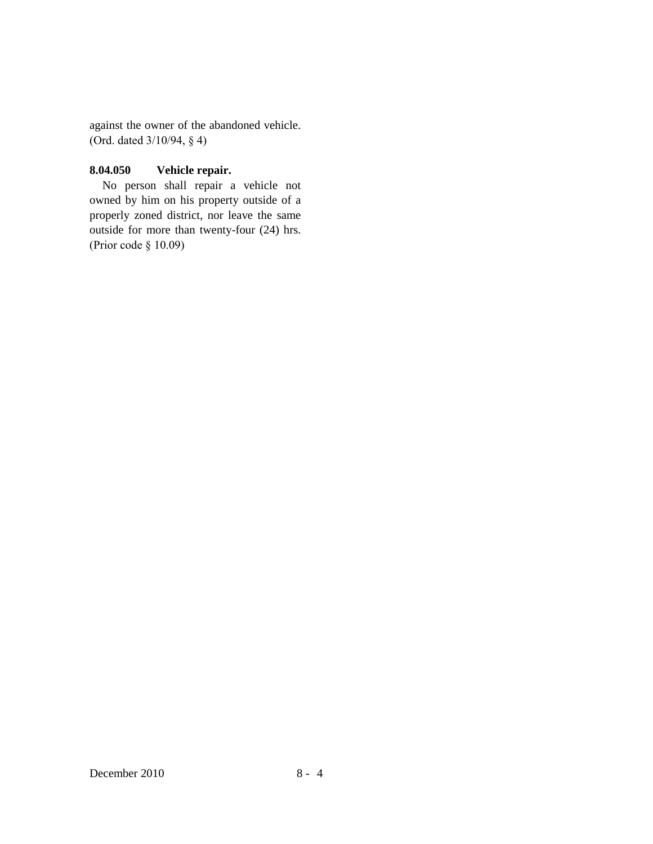against the owner of the abandoned vehicle. (Ord. dated 3/10/94, § 4)

# **8.04.050 Vehicle repair.**

No person shall repair a vehicle not owned by him on his property outside of a properly zoned district, nor leave the same outside for more than twenty-four (24) hrs. (Prior code § 10.09)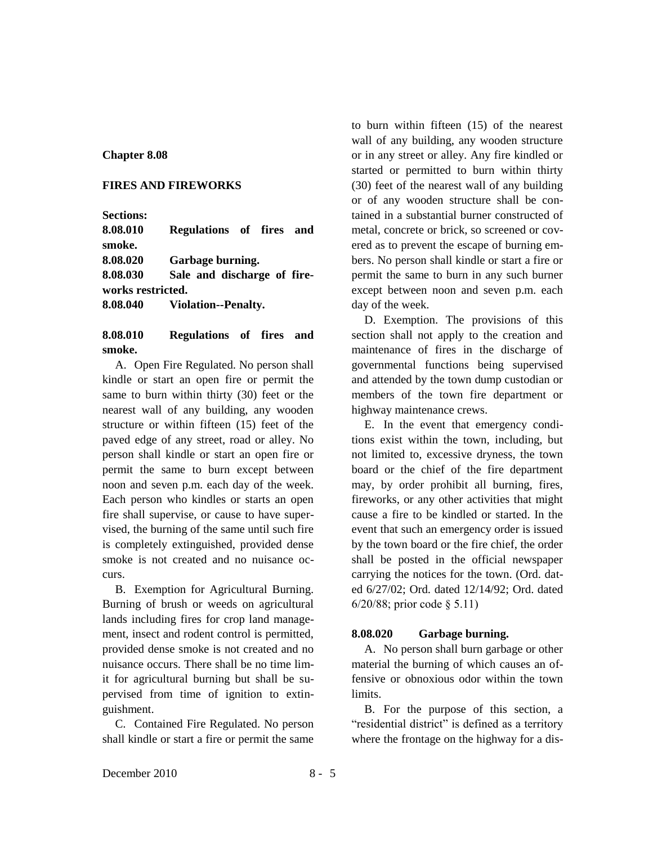### **Chapter 8.08**

### **FIRES AND FIREWORKS**

**Sections:**

**8.08.010 Regulations of fires and smoke. 8.08.020 Garbage burning. 8.08.030 Sale and discharge of fireworks restricted.**

**8.08.040 Violation--Penalty.**

# **8.08.010 Regulations of fires and smoke.**

A. Open Fire Regulated. No person shall kindle or start an open fire or permit the same to burn within thirty (30) feet or the nearest wall of any building, any wooden structure or within fifteen (15) feet of the paved edge of any street, road or alley. No person shall kindle or start an open fire or permit the same to burn except between noon and seven p.m. each day of the week. Each person who kindles or starts an open fire shall supervise, or cause to have supervised, the burning of the same until such fire is completely extinguished, provided dense smoke is not created and no nuisance occurs.

B. Exemption for Agricultural Burning. Burning of brush or weeds on agricultural lands including fires for crop land management, insect and rodent control is permitted, provided dense smoke is not created and no nuisance occurs. There shall be no time limit for agricultural burning but shall be supervised from time of ignition to extinguishment.

C. Contained Fire Regulated. No person shall kindle or start a fire or permit the same to burn within fifteen (15) of the nearest wall of any building, any wooden structure or in any street or alley. Any fire kindled or started or permitted to burn within thirty (30) feet of the nearest wall of any building or of any wooden structure shall be contained in a substantial burner constructed of metal, concrete or brick, so screened or covered as to prevent the escape of burning embers. No person shall kindle or start a fire or permit the same to burn in any such burner except between noon and seven p.m. each day of the week.

D. Exemption. The provisions of this section shall not apply to the creation and maintenance of fires in the discharge of governmental functions being supervised and attended by the town dump custodian or members of the town fire department or highway maintenance crews.

E. In the event that emergency conditions exist within the town, including, but not limited to, excessive dryness, the town board or the chief of the fire department may, by order prohibit all burning, fires, fireworks, or any other activities that might cause a fire to be kindled or started. In the event that such an emergency order is issued by the town board or the fire chief, the order shall be posted in the official newspaper carrying the notices for the town. (Ord. dated 6/27/02; Ord. dated 12/14/92; Ord. dated 6/20/88; prior code § 5.11)

## **8.08.020 Garbage burning.**

A. No person shall burn garbage or other material the burning of which causes an offensive or obnoxious odor within the town limits.

B. For the purpose of this section, a "residential district" is defined as a territory where the frontage on the highway for a dis-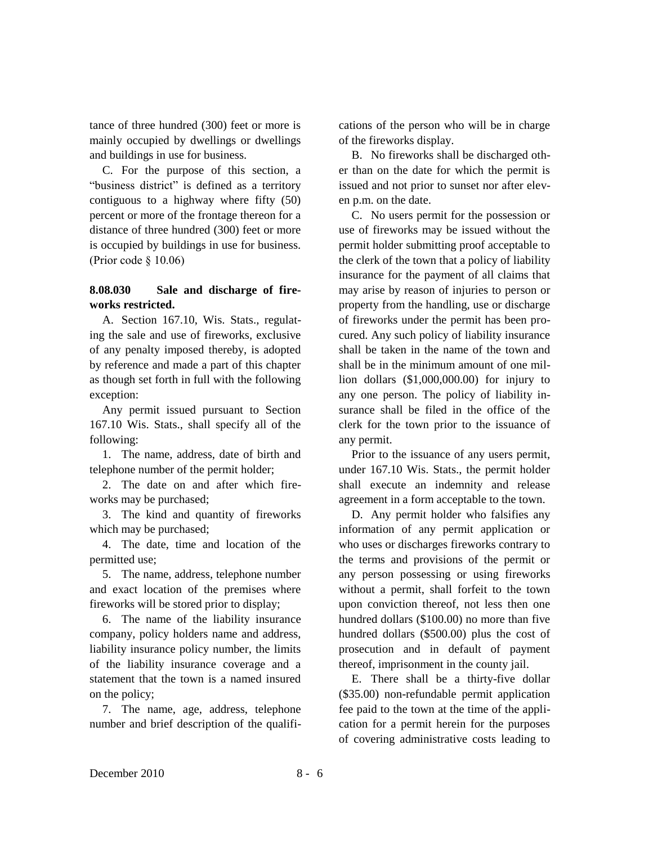tance of three hundred (300) feet or more is mainly occupied by dwellings or dwellings and buildings in use for business.

C. For the purpose of this section, a "business district" is defined as a territory contiguous to a highway where fifty (50) percent or more of the frontage thereon for a distance of three hundred (300) feet or more is occupied by buildings in use for business. (Prior code § 10.06)

## **8.08.030 Sale and discharge of fireworks restricted.**

A. Section 167.10, Wis. Stats., regulating the sale and use of fireworks, exclusive of any penalty imposed thereby, is adopted by reference and made a part of this chapter as though set forth in full with the following exception:

Any permit issued pursuant to Section 167.10 Wis. Stats., shall specify all of the following:

1. The name, address, date of birth and telephone number of the permit holder;

2. The date on and after which fireworks may be purchased;

3. The kind and quantity of fireworks which may be purchased;

4. The date, time and location of the permitted use;

5. The name, address, telephone number and exact location of the premises where fireworks will be stored prior to display;

6. The name of the liability insurance company, policy holders name and address, liability insurance policy number, the limits of the liability insurance coverage and a statement that the town is a named insured on the policy;

7. The name, age, address, telephone number and brief description of the qualifications of the person who will be in charge of the fireworks display.

B. No fireworks shall be discharged other than on the date for which the permit is issued and not prior to sunset nor after eleven p.m. on the date.

C. No users permit for the possession or use of fireworks may be issued without the permit holder submitting proof acceptable to the clerk of the town that a policy of liability insurance for the payment of all claims that may arise by reason of injuries to person or property from the handling, use or discharge of fireworks under the permit has been procured. Any such policy of liability insurance shall be taken in the name of the town and shall be in the minimum amount of one million dollars (\$1,000,000.00) for injury to any one person. The policy of liability insurance shall be filed in the office of the clerk for the town prior to the issuance of any permit.

Prior to the issuance of any users permit, under 167.10 Wis. Stats., the permit holder shall execute an indemnity and release agreement in a form acceptable to the town.

D. Any permit holder who falsifies any information of any permit application or who uses or discharges fireworks contrary to the terms and provisions of the permit or any person possessing or using fireworks without a permit, shall forfeit to the town upon conviction thereof, not less then one hundred dollars (\$100.00) no more than five hundred dollars (\$500.00) plus the cost of prosecution and in default of payment thereof, imprisonment in the county jail.

E. There shall be a thirty-five dollar (\$35.00) non-refundable permit application fee paid to the town at the time of the application for a permit herein for the purposes of covering administrative costs leading to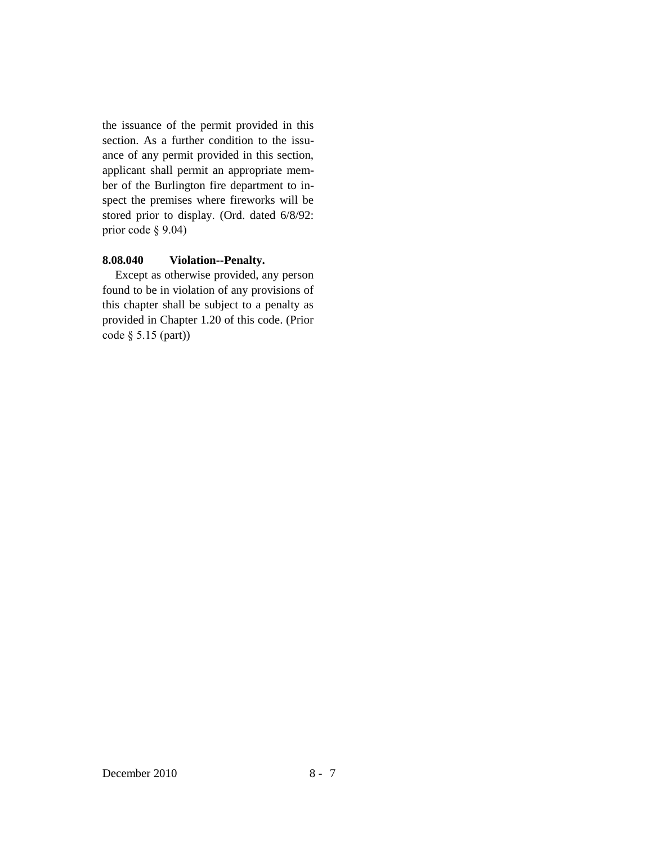the issuance of the permit provided in this section. As a further condition to the issuance of any permit provided in this section, applicant shall permit an appropriate member of the Burlington fire department to inspect the premises where fireworks will be stored prior to display. (Ord. dated 6/8/92: prior code § 9.04)

## **8.08.040 Violation--Penalty.**

Except as otherwise provided, any person found to be in violation of any provisions of this chapter shall be subject to a penalty as provided in Chapter 1.20 of this code. (Prior code § 5.15 (part))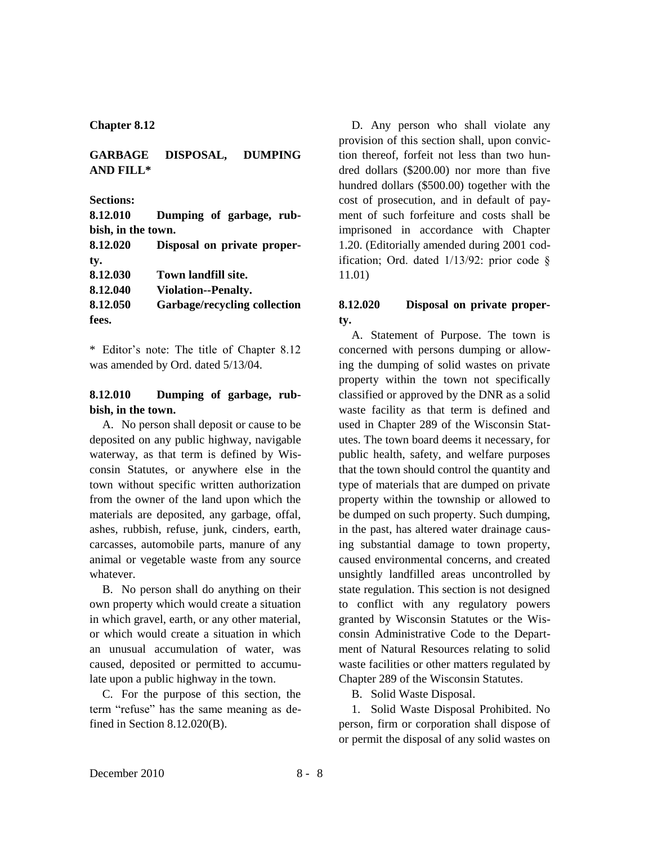**Chapter 8.12**

# **GARBAGE DISPOSAL, DUMPING AND FILL\***

**Sections:**

**8.12.010 Dumping of garbage, rubbish, in the town. 8.12.020 Disposal on private proper-**

| 0.12.V2V | Disposal on private proper-  |
|----------|------------------------------|
| ty.      |                              |
| 8.12.030 | Town landfill site.          |
| 8.12.040 | <b>Violation--Penalty.</b>   |
| 8.12.050 | Garbage/recycling collection |
| fees.    |                              |

\* Editor's note: The title of Chapter 8.12 was amended by Ord. dated 5/13/04.

## **8.12.010 Dumping of garbage, rubbish, in the town.**

A. No person shall deposit or cause to be deposited on any public highway, navigable waterway, as that term is defined by Wisconsin Statutes, or anywhere else in the town without specific written authorization from the owner of the land upon which the materials are deposited, any garbage, offal, ashes, rubbish, refuse, junk, cinders, earth, carcasses, automobile parts, manure of any animal or vegetable waste from any source whatever.

B. No person shall do anything on their own property which would create a situation in which gravel, earth, or any other material, or which would create a situation in which an unusual accumulation of water, was caused, deposited or permitted to accumulate upon a public highway in the town.

C. For the purpose of this section, the term "refuse" has the same meaning as defined in Section 8.12.020(B).

D. Any person who shall violate any provision of this section shall, upon conviction thereof, forfeit not less than two hundred dollars (\$200.00) nor more than five hundred dollars (\$500.00) together with the cost of prosecution, and in default of payment of such forfeiture and costs shall be imprisoned in accordance with Chapter 1.20. (Editorially amended during 2001 codification; Ord. dated 1/13/92: prior code § 11.01)

# **8.12.020 Disposal on private property.**

A. Statement of Purpose. The town is concerned with persons dumping or allowing the dumping of solid wastes on private property within the town not specifically classified or approved by the DNR as a solid waste facility as that term is defined and used in Chapter 289 of the Wisconsin Statutes. The town board deems it necessary, for public health, safety, and welfare purposes that the town should control the quantity and type of materials that are dumped on private property within the township or allowed to be dumped on such property. Such dumping, in the past, has altered water drainage causing substantial damage to town property, caused environmental concerns, and created unsightly landfilled areas uncontrolled by state regulation. This section is not designed to conflict with any regulatory powers granted by Wisconsin Statutes or the Wisconsin Administrative Code to the Department of Natural Resources relating to solid waste facilities or other matters regulated by Chapter 289 of the Wisconsin Statutes.

B. Solid Waste Disposal.

1. Solid Waste Disposal Prohibited. No person, firm or corporation shall dispose of or permit the disposal of any solid wastes on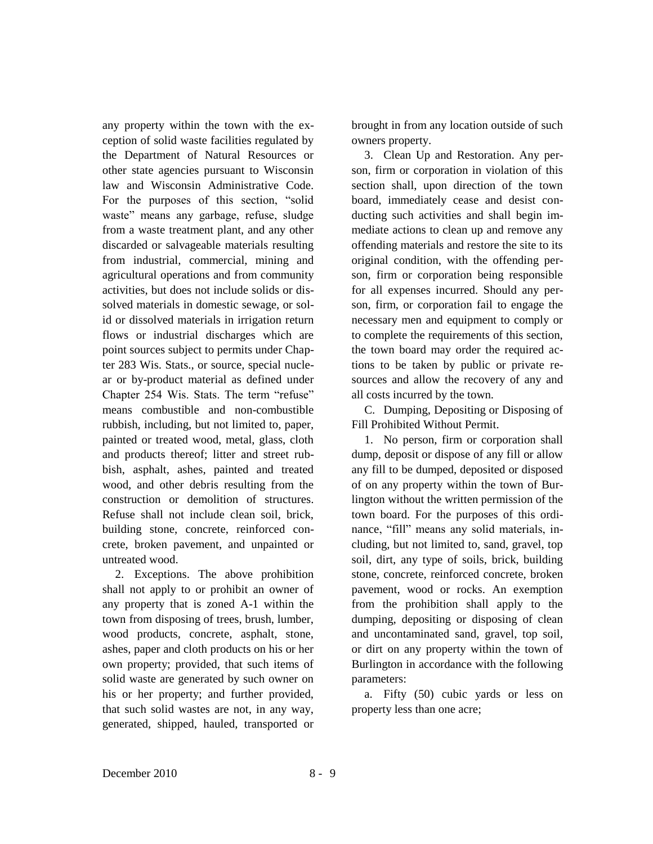any property within the town with the exception of solid waste facilities regulated by the Department of Natural Resources or other state agencies pursuant to Wisconsin law and Wisconsin Administrative Code. For the purposes of this section, "solid waste" means any garbage, refuse, sludge from a waste treatment plant, and any other discarded or salvageable materials resulting from industrial, commercial, mining and agricultural operations and from community activities, but does not include solids or dissolved materials in domestic sewage, or solid or dissolved materials in irrigation return flows or industrial discharges which are point sources subject to permits under Chapter 283 Wis. Stats., or source, special nuclear or by-product material as defined under Chapter 254 Wis. Stats. The term "refuse" means combustible and non-combustible rubbish, including, but not limited to, paper, painted or treated wood, metal, glass, cloth and products thereof; litter and street rubbish, asphalt, ashes, painted and treated wood, and other debris resulting from the construction or demolition of structures. Refuse shall not include clean soil, brick, building stone, concrete, reinforced concrete, broken pavement, and unpainted or untreated wood.

2. Exceptions. The above prohibition shall not apply to or prohibit an owner of any property that is zoned A-1 within the town from disposing of trees, brush, lumber, wood products, concrete, asphalt, stone, ashes, paper and cloth products on his or her own property; provided, that such items of solid waste are generated by such owner on his or her property; and further provided, that such solid wastes are not, in any way, generated, shipped, hauled, transported or brought in from any location outside of such owners property.

3. Clean Up and Restoration. Any person, firm or corporation in violation of this section shall, upon direction of the town board, immediately cease and desist conducting such activities and shall begin immediate actions to clean up and remove any offending materials and restore the site to its original condition, with the offending person, firm or corporation being responsible for all expenses incurred. Should any person, firm, or corporation fail to engage the necessary men and equipment to comply or to complete the requirements of this section, the town board may order the required actions to be taken by public or private resources and allow the recovery of any and all costs incurred by the town.

C. Dumping, Depositing or Disposing of Fill Prohibited Without Permit.

1. No person, firm or corporation shall dump, deposit or dispose of any fill or allow any fill to be dumped, deposited or disposed of on any property within the town of Burlington without the written permission of the town board. For the purposes of this ordinance, "fill" means any solid materials, including, but not limited to, sand, gravel, top soil, dirt, any type of soils, brick, building stone, concrete, reinforced concrete, broken pavement, wood or rocks. An exemption from the prohibition shall apply to the dumping, depositing or disposing of clean and uncontaminated sand, gravel, top soil, or dirt on any property within the town of Burlington in accordance with the following parameters:

a. Fifty (50) cubic yards or less on property less than one acre;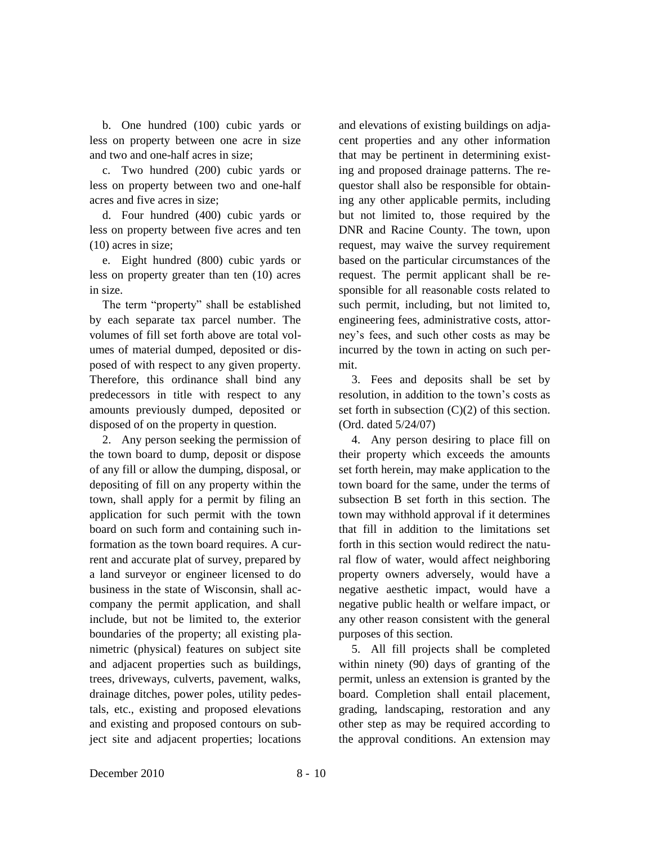b. One hundred (100) cubic yards or less on property between one acre in size and two and one-half acres in size;

c. Two hundred (200) cubic yards or less on property between two and one-half acres and five acres in size;

d. Four hundred (400) cubic yards or less on property between five acres and ten (10) acres in size;

e. Eight hundred (800) cubic yards or less on property greater than ten (10) acres in size.

The term "property" shall be established by each separate tax parcel number. The volumes of fill set forth above are total volumes of material dumped, deposited or disposed of with respect to any given property. Therefore, this ordinance shall bind any predecessors in title with respect to any amounts previously dumped, deposited or disposed of on the property in question.

2. Any person seeking the permission of the town board to dump, deposit or dispose of any fill or allow the dumping, disposal, or depositing of fill on any property within the town, shall apply for a permit by filing an application for such permit with the town board on such form and containing such information as the town board requires. A current and accurate plat of survey, prepared by a land surveyor or engineer licensed to do business in the state of Wisconsin, shall accompany the permit application, and shall include, but not be limited to, the exterior boundaries of the property; all existing planimetric (physical) features on subject site and adjacent properties such as buildings, trees, driveways, culverts, pavement, walks, drainage ditches, power poles, utility pedestals, etc., existing and proposed elevations and existing and proposed contours on subject site and adjacent properties; locations

and elevations of existing buildings on adjacent properties and any other information that may be pertinent in determining existing and proposed drainage patterns. The requestor shall also be responsible for obtaining any other applicable permits, including but not limited to, those required by the DNR and Racine County. The town, upon request, may waive the survey requirement based on the particular circumstances of the request. The permit applicant shall be responsible for all reasonable costs related to such permit, including, but not limited to, engineering fees, administrative costs, attorney's fees, and such other costs as may be incurred by the town in acting on such permit.

3. Fees and deposits shall be set by resolution, in addition to the town's costs as set forth in subsection  $(C)(2)$  of this section. (Ord. dated 5/24/07)

4. Any person desiring to place fill on their property which exceeds the amounts set forth herein, may make application to the town board for the same, under the terms of subsection B set forth in this section. The town may withhold approval if it determines that fill in addition to the limitations set forth in this section would redirect the natural flow of water, would affect neighboring property owners adversely, would have a negative aesthetic impact, would have a negative public health or welfare impact, or any other reason consistent with the general purposes of this section.

5. All fill projects shall be completed within ninety (90) days of granting of the permit, unless an extension is granted by the board. Completion shall entail placement, grading, landscaping, restoration and any other step as may be required according to the approval conditions. An extension may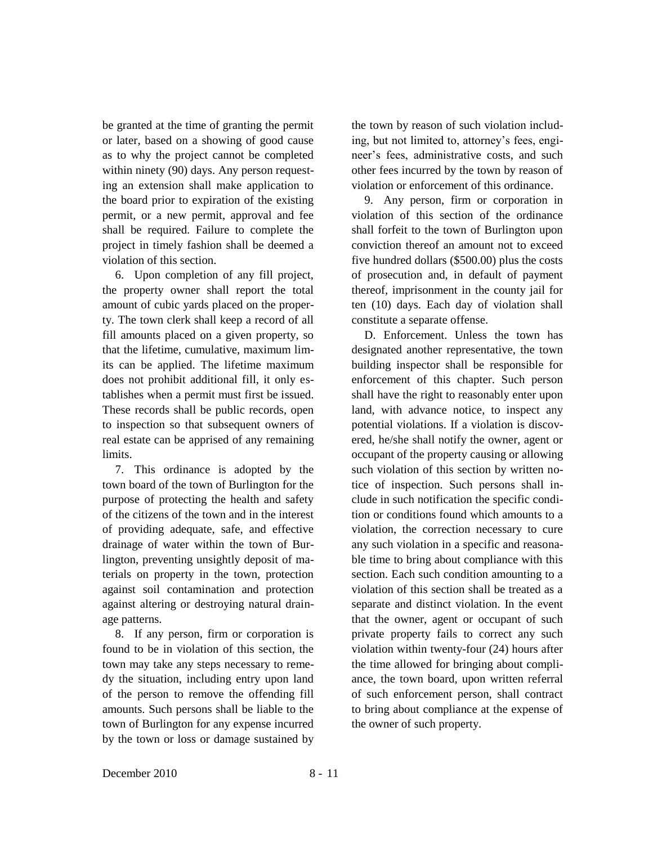be granted at the time of granting the permit or later, based on a showing of good cause as to why the project cannot be completed within ninety (90) days. Any person requesting an extension shall make application to the board prior to expiration of the existing permit, or a new permit, approval and fee shall be required. Failure to complete the project in timely fashion shall be deemed a violation of this section.

6. Upon completion of any fill project, the property owner shall report the total amount of cubic yards placed on the property. The town clerk shall keep a record of all fill amounts placed on a given property, so that the lifetime, cumulative, maximum limits can be applied. The lifetime maximum does not prohibit additional fill, it only establishes when a permit must first be issued. These records shall be public records, open to inspection so that subsequent owners of real estate can be apprised of any remaining limits.

7. This ordinance is adopted by the town board of the town of Burlington for the purpose of protecting the health and safety of the citizens of the town and in the interest of providing adequate, safe, and effective drainage of water within the town of Burlington, preventing unsightly deposit of materials on property in the town, protection against soil contamination and protection against altering or destroying natural drainage patterns.

8. If any person, firm or corporation is found to be in violation of this section, the town may take any steps necessary to remedy the situation, including entry upon land of the person to remove the offending fill amounts. Such persons shall be liable to the town of Burlington for any expense incurred by the town or loss or damage sustained by

the town by reason of such violation including, but not limited to, attorney's fees, engineer's fees, administrative costs, and such other fees incurred by the town by reason of violation or enforcement of this ordinance.

9. Any person, firm or corporation in violation of this section of the ordinance shall forfeit to the town of Burlington upon conviction thereof an amount not to exceed five hundred dollars (\$500.00) plus the costs of prosecution and, in default of payment thereof, imprisonment in the county jail for ten (10) days. Each day of violation shall constitute a separate offense.

D. Enforcement. Unless the town has designated another representative, the town building inspector shall be responsible for enforcement of this chapter. Such person shall have the right to reasonably enter upon land, with advance notice, to inspect any potential violations. If a violation is discovered, he/she shall notify the owner, agent or occupant of the property causing or allowing such violation of this section by written notice of inspection. Such persons shall include in such notification the specific condition or conditions found which amounts to a violation, the correction necessary to cure any such violation in a specific and reasonable time to bring about compliance with this section. Each such condition amounting to a violation of this section shall be treated as a separate and distinct violation. In the event that the owner, agent or occupant of such private property fails to correct any such violation within twenty-four (24) hours after the time allowed for bringing about compliance, the town board, upon written referral of such enforcement person, shall contract to bring about compliance at the expense of the owner of such property.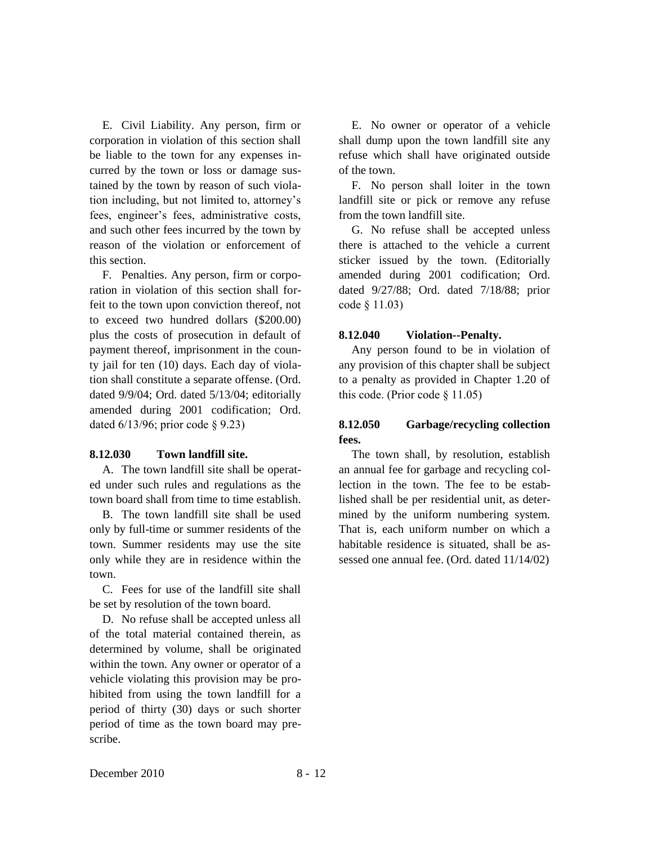E. Civil Liability. Any person, firm or corporation in violation of this section shall be liable to the town for any expenses incurred by the town or loss or damage sustained by the town by reason of such violation including, but not limited to, attorney's fees, engineer's fees, administrative costs, and such other fees incurred by the town by reason of the violation or enforcement of this section.

F. Penalties. Any person, firm or corporation in violation of this section shall forfeit to the town upon conviction thereof, not to exceed two hundred dollars (\$200.00) plus the costs of prosecution in default of payment thereof, imprisonment in the county jail for ten (10) days. Each day of violation shall constitute a separate offense. (Ord. dated 9/9/04; Ord. dated 5/13/04; editorially amended during 2001 codification; Ord. dated 6/13/96; prior code § 9.23)

### **8.12.030 Town landfill site.**

A. The town landfill site shall be operated under such rules and regulations as the town board shall from time to time establish.

B. The town landfill site shall be used only by full-time or summer residents of the town. Summer residents may use the site only while they are in residence within the town.

C. Fees for use of the landfill site shall be set by resolution of the town board.

D. No refuse shall be accepted unless all of the total material contained therein, as determined by volume, shall be originated within the town. Any owner or operator of a vehicle violating this provision may be prohibited from using the town landfill for a period of thirty (30) days or such shorter period of time as the town board may prescribe.

E. No owner or operator of a vehicle shall dump upon the town landfill site any refuse which shall have originated outside of the town.

F. No person shall loiter in the town landfill site or pick or remove any refuse from the town landfill site.

G. No refuse shall be accepted unless there is attached to the vehicle a current sticker issued by the town. (Editorially amended during 2001 codification; Ord. dated 9/27/88; Ord. dated 7/18/88; prior code § 11.03)

#### **8.12.040 Violation--Penalty.**

Any person found to be in violation of any provision of this chapter shall be subject to a penalty as provided in Chapter 1.20 of this code. (Prior code  $\S$  11.05)

## **8.12.050 Garbage/recycling collection fees.**

The town shall, by resolution, establish an annual fee for garbage and recycling collection in the town. The fee to be established shall be per residential unit, as determined by the uniform numbering system. That is, each uniform number on which a habitable residence is situated, shall be assessed one annual fee. (Ord. dated 11/14/02)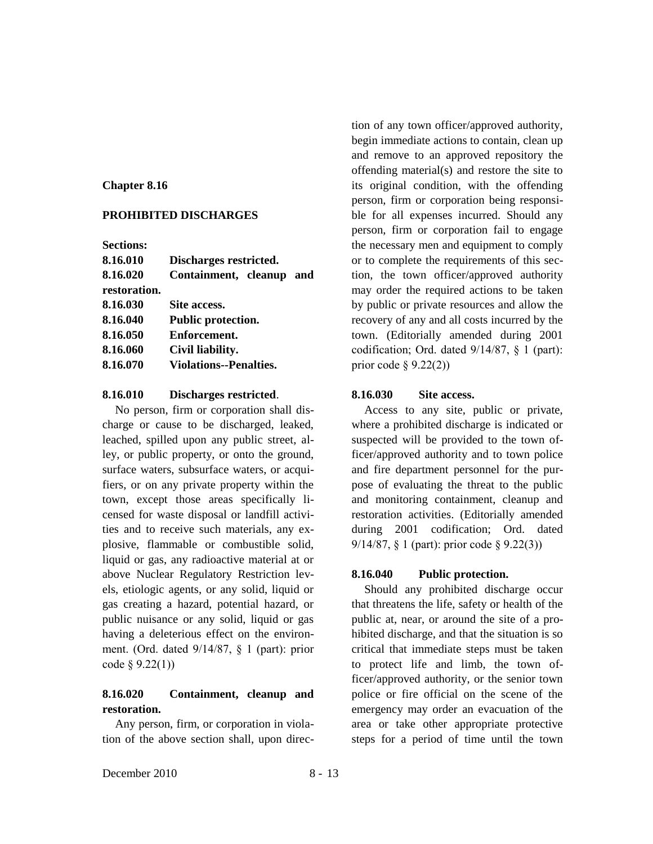#### **Chapter 8.16**

#### **PROHIBITED DISCHARGES**

**Sections:**

| 8.16.010     | Discharges restricted.        |  |
|--------------|-------------------------------|--|
| 8.16.020     | Containment, cleanup and      |  |
| restoration. |                               |  |
| 8.16.030     | Site access.                  |  |
| 8.16.040     | <b>Public protection.</b>     |  |
| 8.16.050     | Enforcement.                  |  |
| 8.16.060     | Civil liability.              |  |
| 8.16.070     | <b>Violations--Penalties.</b> |  |

### **8.16.010 Discharges restricted**.

No person, firm or corporation shall discharge or cause to be discharged, leaked, leached, spilled upon any public street, alley, or public property, or onto the ground, surface waters, subsurface waters, or acquifiers, or on any private property within the town, except those areas specifically licensed for waste disposal or landfill activities and to receive such materials, any explosive, flammable or combustible solid, liquid or gas, any radioactive material at or above Nuclear Regulatory Restriction levels, etiologic agents, or any solid, liquid or gas creating a hazard, potential hazard, or public nuisance or any solid, liquid or gas having a deleterious effect on the environment. (Ord. dated 9/14/87, § 1 (part): prior code § 9.22(1))

# **8.16.020 Containment, cleanup and restoration.**

Any person, firm, or corporation in violation of the above section shall, upon direc-

tion of any town officer/approved authority, begin immediate actions to contain, clean up and remove to an approved repository the offending material(s) and restore the site to its original condition, with the offending person, firm or corporation being responsible for all expenses incurred. Should any person, firm or corporation fail to engage the necessary men and equipment to comply or to complete the requirements of this section, the town officer/approved authority may order the required actions to be taken by public or private resources and allow the recovery of any and all costs incurred by the town. (Editorially amended during 2001 codification; Ord. dated 9/14/87, § 1 (part): prior code  $\S$  9.22(2))

## **8.16.030 Site access.**

Access to any site, public or private, where a prohibited discharge is indicated or suspected will be provided to the town officer/approved authority and to town police and fire department personnel for the purpose of evaluating the threat to the public and monitoring containment, cleanup and restoration activities. (Editorially amended during 2001 codification; Ord. dated 9/14/87, § 1 (part): prior code § 9.22(3))

### **8.16.040 Public protection.**

Should any prohibited discharge occur that threatens the life, safety or health of the public at, near, or around the site of a prohibited discharge, and that the situation is so critical that immediate steps must be taken to protect life and limb, the town officer/approved authority, or the senior town police or fire official on the scene of the emergency may order an evacuation of the area or take other appropriate protective steps for a period of time until the town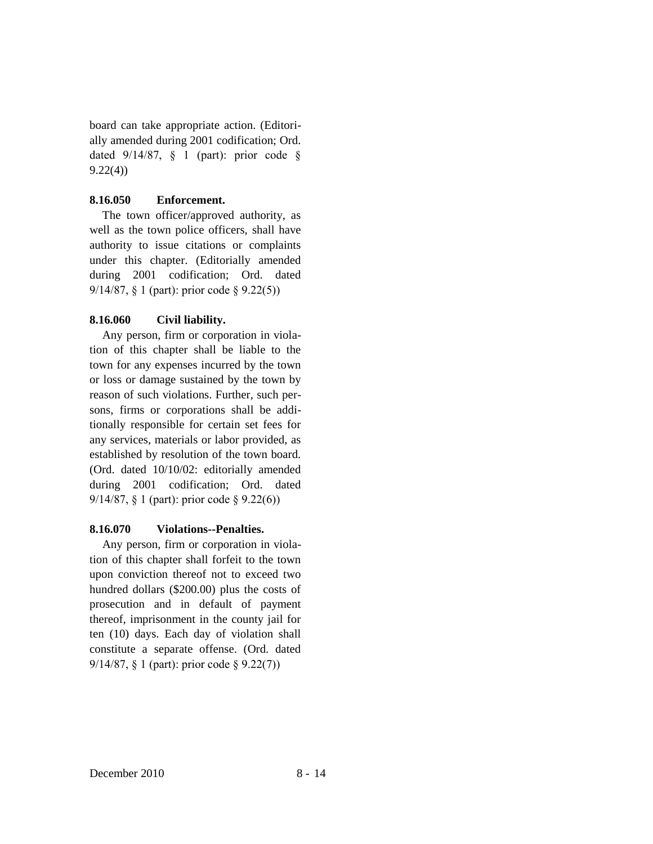board can take appropriate action. (Editorially amended during 2001 codification; Ord. dated  $9/14/87$ , § 1 (part): prior code § 9.22(4))

## **8.16.050 Enforcement.**

The town officer/approved authority, as well as the town police officers, shall have authority to issue citations or complaints under this chapter. (Editorially amended during 2001 codification; Ord. dated 9/14/87, § 1 (part): prior code § 9.22(5))

### **8.16.060 Civil liability.**

Any person, firm or corporation in violation of this chapter shall be liable to the town for any expenses incurred by the town or loss or damage sustained by the town by reason of such violations. Further, such persons, firms or corporations shall be additionally responsible for certain set fees for any services, materials or labor provided, as established by resolution of the town board. (Ord. dated 10/10/02: editorially amended during 2001 codification; Ord. dated 9/14/87, § 1 (part): prior code § 9.22(6))

## **8.16.070 Violations--Penalties.**

Any person, firm or corporation in violation of this chapter shall forfeit to the town upon conviction thereof not to exceed two hundred dollars (\$200.00) plus the costs of prosecution and in default of payment thereof, imprisonment in the county jail for ten (10) days. Each day of violation shall constitute a separate offense. (Ord. dated 9/14/87, § 1 (part): prior code § 9.22(7))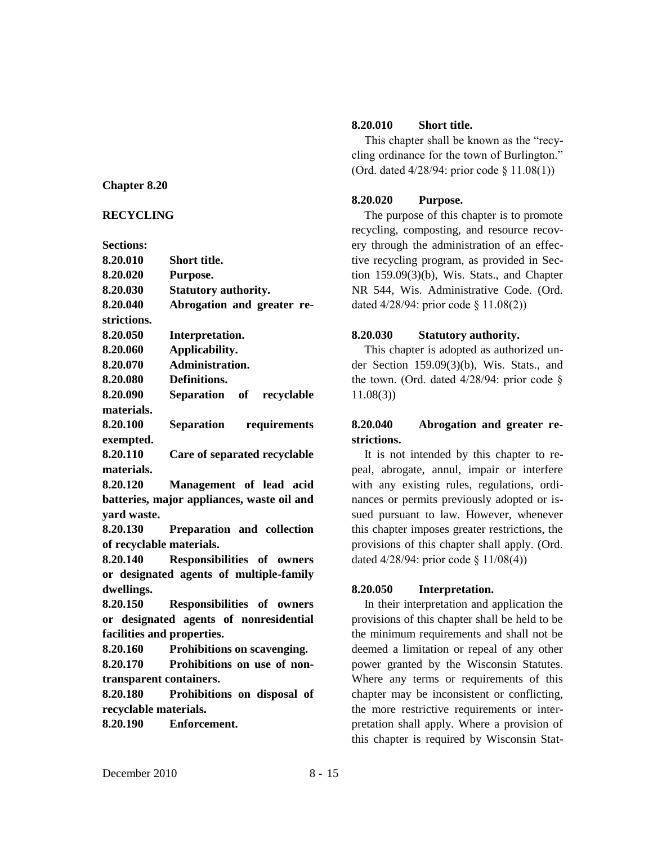### **Chapter 8.20**

### **RECYCLING**

**Sections:**

| 8.20.010                   | <b>Short title.</b>                        |
|----------------------------|--------------------------------------------|
| 8.20.020                   | Purpose.                                   |
| 8.20.030                   | <b>Statutory authority.</b>                |
| 8.20.040                   | Abrogation and greater re-                 |
| strictions.                |                                            |
| 8.20.050                   | Interpretation.                            |
| 8.20.060                   | Applicability.                             |
| 8.20.070                   | Administration.                            |
| 8.20.080                   | Definitions.                               |
| 8.20.090                   | Separation of recyclable                   |
| materials.                 |                                            |
| 8.20.100                   | Separation<br>requirements                 |
| exempted.                  |                                            |
| 8.20.110                   | Care of separated recyclable               |
| materials.                 |                                            |
| 8.20.120                   | Management of lead acid                    |
|                            | batteries, major appliances, waste oil and |
| vard waste.                |                                            |
| 8.20.130                   | Preparation and collection                 |
| of recyclable materials.   |                                            |
| 8.20.140                   | Responsibilities of owners                 |
|                            | or designated agents of multiple-family    |
| dwellings.                 |                                            |
| 8.20.150                   | Responsibilities of owners                 |
|                            | or designated agents of nonresidential     |
| facilities and properties. |                                            |
| 8.20.160                   | Prohibitions on scavenging.                |
| 8.20.170                   | Prohibitions on use of non-                |
| transparent containers.    |                                            |
| 8.20.180                   | Prohibitions on disposal of                |
| recyclable materials.      |                                            |

**8.20.190 Enforcement.**

## **8.20.010 Short title.**

This chapter shall be known as the "recycling ordinance for the town of Burlington." (Ord. dated 4/28/94: prior code § 11.08(1))

### **8.20.020 Purpose.**

The purpose of this chapter is to promote recycling, composting, and resource recovery through the administration of an effective recycling program, as provided in Section 159.09(3)(b), Wis. Stats., and Chapter NR 544, Wis. Administrative Code. (Ord. dated 4/28/94: prior code § 11.08(2))

#### **8.20.030 Statutory authority.**

This chapter is adopted as authorized under Section 159.09(3)(b), Wis. Stats., and the town. (Ord. dated 4/28/94: prior code § 11.08(3))

# **8.20.040 Abrogation and greater restrictions.**

It is not intended by this chapter to repeal, abrogate, annul, impair or interfere with any existing rules, regulations, ordinances or permits previously adopted or issued pursuant to law. However, whenever this chapter imposes greater restrictions, the provisions of this chapter shall apply. (Ord. dated 4/28/94: prior code § 11/08(4))

#### **8.20.050 Interpretation.**

In their interpretation and application the provisions of this chapter shall be held to be the minimum requirements and shall not be deemed a limitation or repeal of any other power granted by the Wisconsin Statutes. Where any terms or requirements of this chapter may be inconsistent or conflicting, the more restrictive requirements or interpretation shall apply. Where a provision of this chapter is required by Wisconsin Stat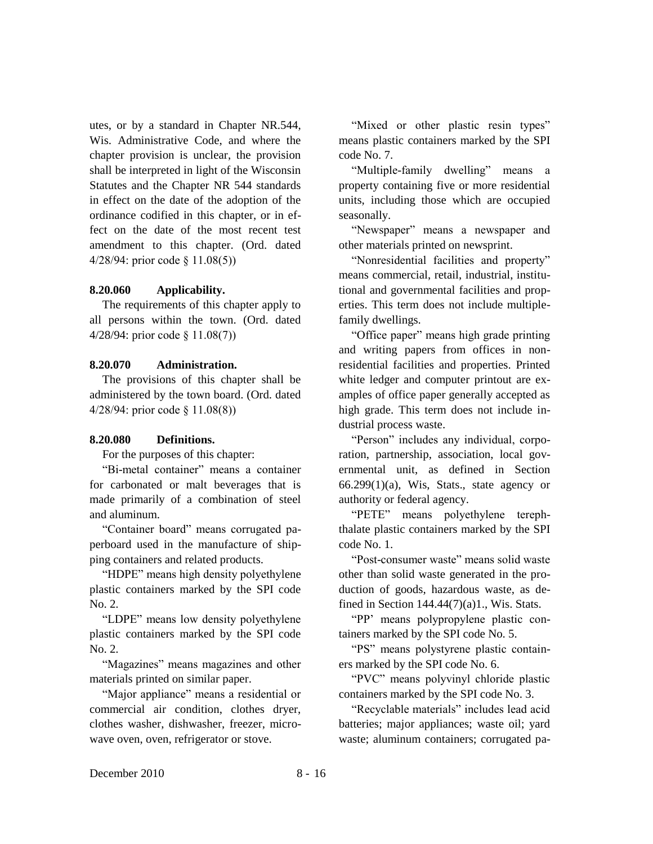utes, or by a standard in Chapter NR.544, Wis. Administrative Code, and where the chapter provision is unclear, the provision shall be interpreted in light of the Wisconsin Statutes and the Chapter NR 544 standards in effect on the date of the adoption of the ordinance codified in this chapter, or in effect on the date of the most recent test amendment to this chapter. (Ord. dated 4/28/94: prior code § 11.08(5))

#### **8.20.060 Applicability.**

The requirements of this chapter apply to all persons within the town. (Ord. dated 4/28/94: prior code § 11.08(7))

#### **8.20.070 Administration.**

The provisions of this chapter shall be administered by the town board. (Ord. dated 4/28/94: prior code § 11.08(8))

### **8.20.080 Definitions.**

For the purposes of this chapter:

"Bi-metal container" means a container for carbonated or malt beverages that is made primarily of a combination of steel and aluminum.

"Container board" means corrugated paperboard used in the manufacture of shipping containers and related products.

"HDPE" means high density polyethylene plastic containers marked by the SPI code No. 2.

"LDPE" means low density polyethylene plastic containers marked by the SPI code No. 2.

"Magazines" means magazines and other materials printed on similar paper.

"Major appliance" means a residential or commercial air condition, clothes dryer, clothes washer, dishwasher, freezer, microwave oven, oven, refrigerator or stove.

"Mixed or other plastic resin types" means plastic containers marked by the SPI code No. 7.

"Multiple-family dwelling" means a property containing five or more residential units, including those which are occupied seasonally.

"Newspaper" means a newspaper and other materials printed on newsprint.

"Nonresidential facilities and property" means commercial, retail, industrial, institutional and governmental facilities and properties. This term does not include multiplefamily dwellings.

"Office paper" means high grade printing and writing papers from offices in nonresidential facilities and properties. Printed white ledger and computer printout are examples of office paper generally accepted as high grade. This term does not include industrial process waste.

"Person" includes any individual, corporation, partnership, association, local governmental unit, as defined in Section  $66.299(1)(a)$ , Wis, Stats., state agency or authority or federal agency.

"PETE" means polyethylene terephthalate plastic containers marked by the SPI code No. 1.

"Post-consumer waste" means solid waste other than solid waste generated in the production of goods, hazardous waste, as defined in Section  $144.44(7)(a)1$ ., Wis. Stats.

"PP' means polypropylene plastic containers marked by the SPI code No. 5.

"PS" means polystyrene plastic containers marked by the SPI code No. 6.

"PVC" means polyvinyl chloride plastic containers marked by the SPI code No. 3.

"Recyclable materials" includes lead acid batteries; major appliances; waste oil; yard waste; aluminum containers; corrugated pa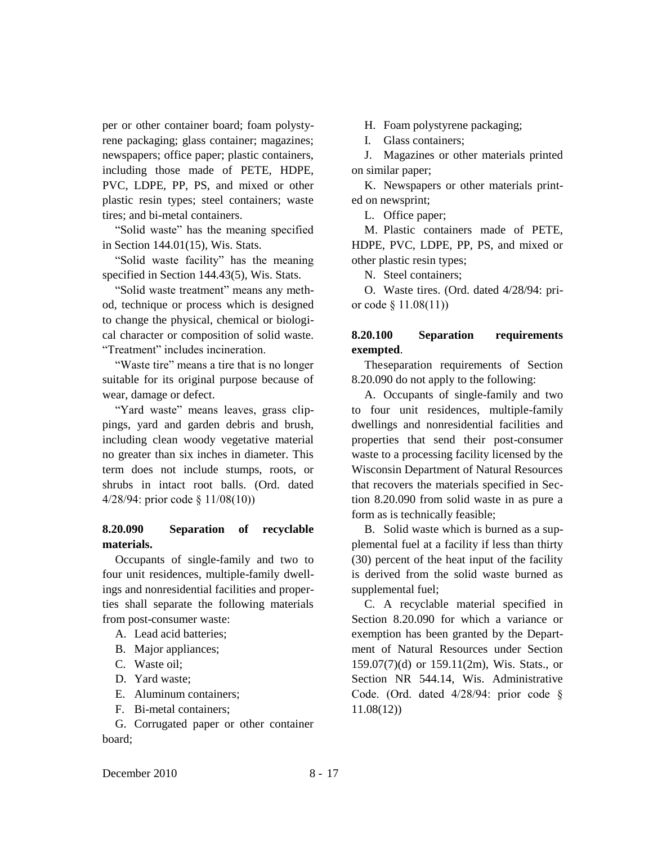per or other container board; foam polystyrene packaging; glass container; magazines; newspapers; office paper; plastic containers, including those made of PETE, HDPE, PVC, LDPE, PP, PS, and mixed or other plastic resin types; steel containers; waste tires; and bi-metal containers.

"Solid waste" has the meaning specified in Section 144.01(15), Wis. Stats.

"Solid waste facility" has the meaning specified in Section 144.43(5), Wis. Stats.

"Solid waste treatment" means any method, technique or process which is designed to change the physical, chemical or biological character or composition of solid waste. "Treatment" includes incineration.

"Waste tire" means a tire that is no longer suitable for its original purpose because of wear, damage or defect.

"Yard waste" means leaves, grass clippings, yard and garden debris and brush, including clean woody vegetative material no greater than six inches in diameter. This term does not include stumps, roots, or shrubs in intact root balls. (Ord. dated 4/28/94: prior code § 11/08(10))

## **8.20.090 Separation of recyclable materials.**

Occupants of single-family and two to four unit residences, multiple-family dwellings and nonresidential facilities and properties shall separate the following materials from post-consumer waste:

- A. Lead acid batteries;
- B. Major appliances;
- C. Waste oil;
- D. Yard waste;
- E. Aluminum containers;
- F. Bi-metal containers;

G. Corrugated paper or other container board;

H. Foam polystyrene packaging;

I. Glass containers;

J. Magazines or other materials printed on similar paper;

K. Newspapers or other materials printed on newsprint;

L. Office paper;

M. Plastic containers made of PETE, HDPE, PVC, LDPE, PP, PS, and mixed or other plastic resin types;

N. Steel containers;

O. Waste tires. (Ord. dated 4/28/94: prior code § 11.08(11))

# **8.20.100 Separation requirements exempted**.

Theseparation requirements of Section 8.20.090 do not apply to the following:

A. Occupants of single-family and two to four unit residences, multiple-family dwellings and nonresidential facilities and properties that send their post-consumer waste to a processing facility licensed by the Wisconsin Department of Natural Resources that recovers the materials specified in Section 8.20.090 from solid waste in as pure a form as is technically feasible;

B. Solid waste which is burned as a supplemental fuel at a facility if less than thirty (30) percent of the heat input of the facility is derived from the solid waste burned as supplemental fuel;

C. A recyclable material specified in Section 8.20.090 for which a variance or exemption has been granted by the Department of Natural Resources under Section 159.07(7)(d) or 159.11(2m), Wis. Stats., or Section NR 544.14, Wis. Administrative Code. (Ord. dated 4/28/94: prior code § 11.08(12))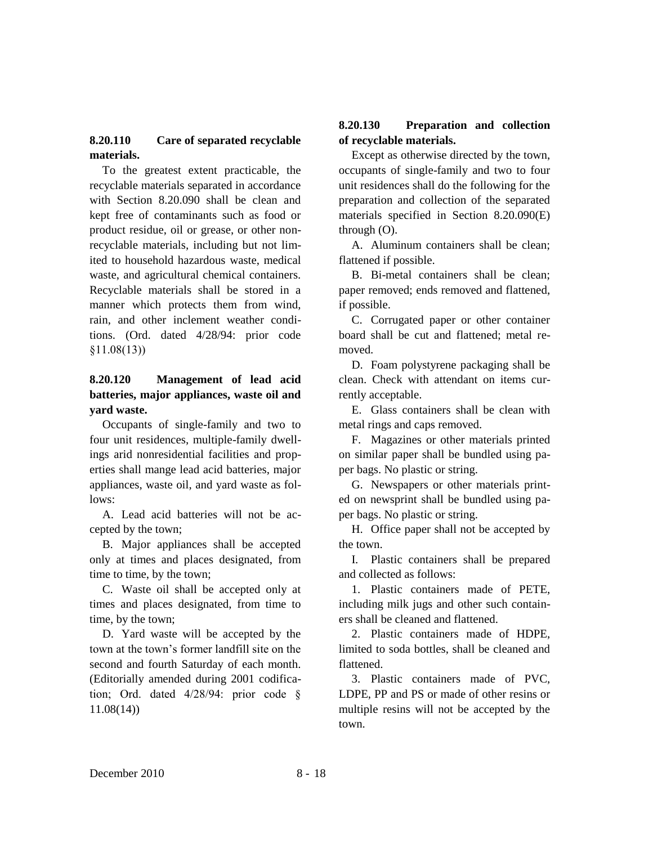# **8.20.110 Care of separated recyclable materials.**

To the greatest extent practicable, the recyclable materials separated in accordance with Section 8.20.090 shall be clean and kept free of contaminants such as food or product residue, oil or grease, or other nonrecyclable materials, including but not limited to household hazardous waste, medical waste, and agricultural chemical containers. Recyclable materials shall be stored in a manner which protects them from wind, rain, and other inclement weather conditions. (Ord. dated 4/28/94: prior code §11.08(13))

# **8.20.120 Management of lead acid batteries, major appliances, waste oil and yard waste.**

Occupants of single-family and two to four unit residences, multiple-family dwellings arid nonresidential facilities and properties shall mange lead acid batteries, major appliances, waste oil, and yard waste as follows:

A. Lead acid batteries will not be accepted by the town;

B. Major appliances shall be accepted only at times and places designated, from time to time, by the town;

C. Waste oil shall be accepted only at times and places designated, from time to time, by the town;

D. Yard waste will be accepted by the town at the town's former landfill site on the second and fourth Saturday of each month. (Editorially amended during 2001 codification; Ord. dated 4/28/94: prior code § 11.08(14))

# **8.20.130 Preparation and collection of recyclable materials.**

Except as otherwise directed by the town, occupants of single-family and two to four unit residences shall do the following for the preparation and collection of the separated materials specified in Section 8.20.090(E) through (O).

A. Aluminum containers shall be clean; flattened if possible.

B. Bi-metal containers shall be clean; paper removed; ends removed and flattened, if possible.

C. Corrugated paper or other container board shall be cut and flattened; metal removed.

D. Foam polystyrene packaging shall be clean. Check with attendant on items currently acceptable.

E. Glass containers shall be clean with metal rings and caps removed.

F. Magazines or other materials printed on similar paper shall be bundled using paper bags. No plastic or string.

G. Newspapers or other materials printed on newsprint shall be bundled using paper bags. No plastic or string.

H. Office paper shall not be accepted by the town.

I. Plastic containers shall be prepared and collected as follows:

1. Plastic containers made of PETE, including milk jugs and other such containers shall be cleaned and flattened.

2. Plastic containers made of HDPE, limited to soda bottles, shall be cleaned and flattened.

3. Plastic containers made of PVC, LDPE, PP and PS or made of other resins or multiple resins will not be accepted by the town.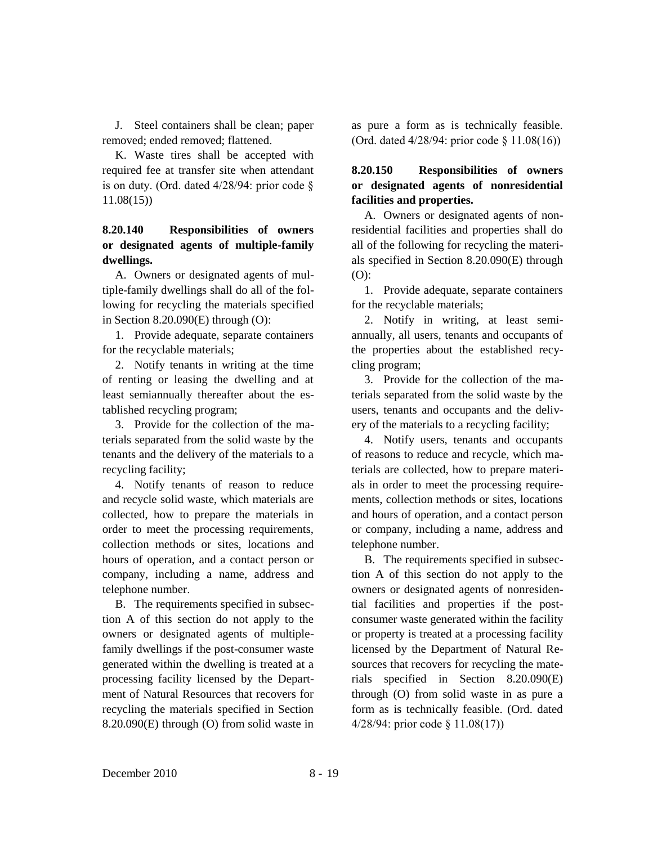J. Steel containers shall be clean; paper removed; ended removed; flattened.

K. Waste tires shall be accepted with required fee at transfer site when attendant is on duty. (Ord. dated  $4/28/94$ : prior code § 11.08(15))

# **8.20.140 Responsibilities of owners or designated agents of multiple-family dwellings.**

A. Owners or designated agents of multiple-family dwellings shall do all of the following for recycling the materials specified in Section 8.20.090(E) through (O):

1. Provide adequate, separate containers for the recyclable materials;

2. Notify tenants in writing at the time of renting or leasing the dwelling and at least semiannually thereafter about the established recycling program;

3. Provide for the collection of the materials separated from the solid waste by the tenants and the delivery of the materials to a recycling facility;

4. Notify tenants of reason to reduce and recycle solid waste, which materials are collected, how to prepare the materials in order to meet the processing requirements, collection methods or sites, locations and hours of operation, and a contact person or company, including a name, address and telephone number.

B. The requirements specified in subsection A of this section do not apply to the owners or designated agents of multiplefamily dwellings if the post-consumer waste generated within the dwelling is treated at a processing facility licensed by the Department of Natural Resources that recovers for recycling the materials specified in Section 8.20.090(E) through (O) from solid waste in

as pure a form as is technically feasible. (Ord. dated 4/28/94: prior code § 11.08(16))

# **8.20.150 Responsibilities of owners or designated agents of nonresidential facilities and properties.**

A. Owners or designated agents of nonresidential facilities and properties shall do all of the following for recycling the materials specified in Section 8.20.090(E) through (O):

1. Provide adequate, separate containers for the recyclable materials;

2. Notify in writing, at least semiannually, all users, tenants and occupants of the properties about the established recycling program;

3. Provide for the collection of the materials separated from the solid waste by the users, tenants and occupants and the delivery of the materials to a recycling facility;

4. Notify users, tenants and occupants of reasons to reduce and recycle, which materials are collected, how to prepare materials in order to meet the processing requirements, collection methods or sites, locations and hours of operation, and a contact person or company, including a name, address and telephone number.

B. The requirements specified in subsection A of this section do not apply to the owners or designated agents of nonresidential facilities and properties if the postconsumer waste generated within the facility or property is treated at a processing facility licensed by the Department of Natural Resources that recovers for recycling the materials specified in Section 8.20.090(E) through (O) from solid waste in as pure a form as is technically feasible. (Ord. dated 4/28/94: prior code § 11.08(17))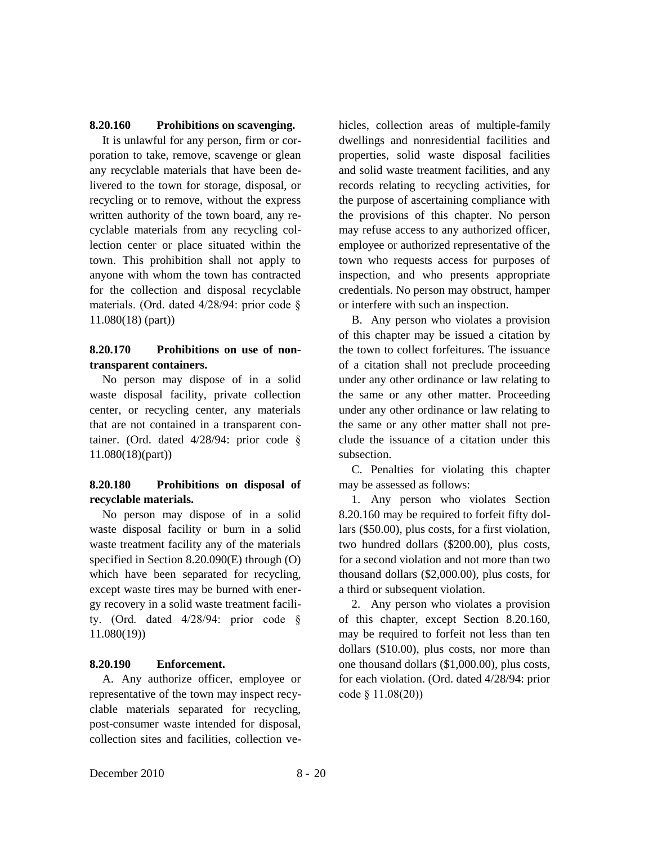## **8.20.160 Prohibitions on scavenging.**

It is unlawful for any person, firm or corporation to take, remove, scavenge or glean any recyclable materials that have been delivered to the town for storage, disposal, or recycling or to remove, without the express written authority of the town board, any recyclable materials from any recycling collection center or place situated within the town. This prohibition shall not apply to anyone with whom the town has contracted for the collection and disposal recyclable materials. (Ord. dated 4/28/94: prior code § 11.080(18) (part))

## **8.20.170 Prohibitions on use of nontransparent containers.**

No person may dispose of in a solid waste disposal facility, private collection center, or recycling center, any materials that are not contained in a transparent container. (Ord. dated 4/28/94: prior code § 11.080(18)(part))

# **8.20.180 Prohibitions on disposal of recyclable materials.**

No person may dispose of in a solid waste disposal facility or burn in a solid waste treatment facility any of the materials specified in Section 8.20.090(E) through (O) which have been separated for recycling, except waste tires may be burned with energy recovery in a solid waste treatment facility. (Ord. dated 4/28/94: prior code § 11.080(19))

### **8.20.190 Enforcement.**

A. Any authorize officer, employee or representative of the town may inspect recyclable materials separated for recycling, post-consumer waste intended for disposal, collection sites and facilities, collection vehicles, collection areas of multiple-family dwellings and nonresidential facilities and properties, solid waste disposal facilities and solid waste treatment facilities, and any records relating to recycling activities, for the purpose of ascertaining compliance with the provisions of this chapter. No person may refuse access to any authorized officer, employee or authorized representative of the town who requests access for purposes of inspection, and who presents appropriate credentials. No person may obstruct, hamper or interfere with such an inspection.

B. Any person who violates a provision of this chapter may be issued a citation by the town to collect forfeitures. The issuance of a citation shall not preclude proceeding under any other ordinance or law relating to the same or any other matter. Proceeding under any other ordinance or law relating to the same or any other matter shall not preclude the issuance of a citation under this subsection.

C. Penalties for violating this chapter may be assessed as follows:

1. Any person who violates Section 8.20.160 may be required to forfeit fifty dollars (\$50.00), plus costs, for a first violation, two hundred dollars (\$200.00), plus costs, for a second violation and not more than two thousand dollars (\$2,000.00), plus costs, for a third or subsequent violation.

2. Any person who violates a provision of this chapter, except Section 8.20.160, may be required to forfeit not less than ten dollars (\$10.00), plus costs, nor more than one thousand dollars (\$1,000.00), plus costs, for each violation. (Ord. dated 4/28/94: prior code § 11.08(20))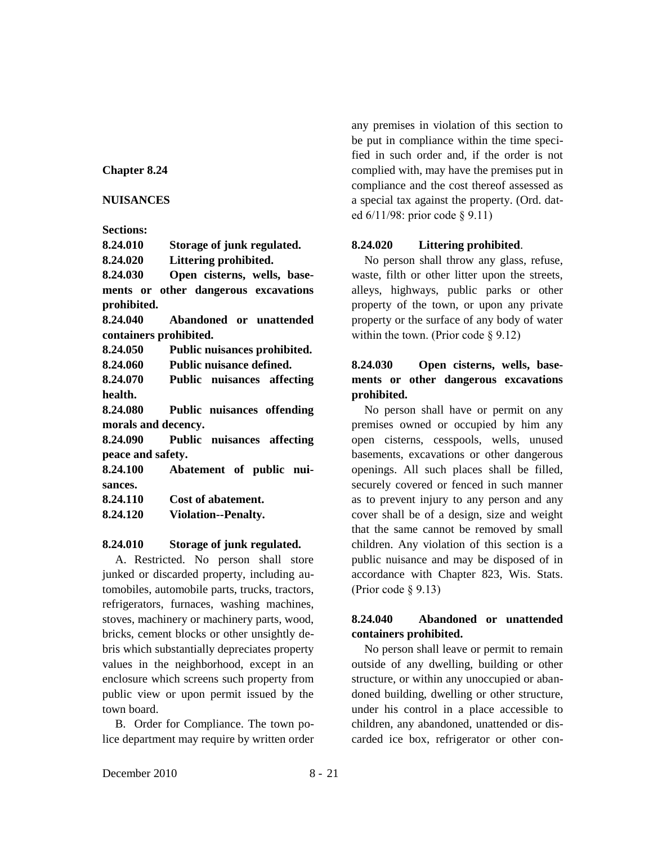### **Chapter 8.24**

### **NUISANCES**

### **Sections:**

**8.24.010 Storage of junk regulated. 8.24.020 Littering prohibited. 8.24.030 Open cisterns, wells, basements or other dangerous excavations prohibited. 8.24.040 Abandoned or unattended containers prohibited. 8.24.050 Public nuisances prohibited. 8.24.060 Public nuisance defined. 8.24.070 Public nuisances affecting health. 8.24.080 Public nuisances offending morals and decency. 8.24.090 Public nuisances affecting peace and safety. 8.24.100 Abatement of public nuisances. 8.24.110 Cost of abatement. 8.24.120 Violation--Penalty.**

### **8.24.010 Storage of junk regulated.**

A. Restricted. No person shall store junked or discarded property, including automobiles, automobile parts, trucks, tractors, refrigerators, furnaces, washing machines, stoves, machinery or machinery parts, wood, bricks, cement blocks or other unsightly debris which substantially depreciates property values in the neighborhood, except in an enclosure which screens such property from public view or upon permit issued by the town board.

B. Order for Compliance. The town police department may require by written order any premises in violation of this section to be put in compliance within the time specified in such order and, if the order is not complied with, may have the premises put in compliance and the cost thereof assessed as a special tax against the property. (Ord. dated 6/11/98: prior code § 9.11)

## **8.24.020 Littering prohibited**.

No person shall throw any glass, refuse, waste, filth or other litter upon the streets, alleys, highways, public parks or other property of the town, or upon any private property or the surface of any body of water within the town. (Prior code  $\S$  9.12)

# **8.24.030 Open cisterns, wells, basements or other dangerous excavations prohibited.**

No person shall have or permit on any premises owned or occupied by him any open cisterns, cesspools, wells, unused basements, excavations or other dangerous openings. All such places shall be filled, securely covered or fenced in such manner as to prevent injury to any person and any cover shall be of a design, size and weight that the same cannot be removed by small children. Any violation of this section is a public nuisance and may be disposed of in accordance with Chapter 823, Wis. Stats. (Prior code § 9.13)

## **8.24.040 Abandoned or unattended containers prohibited.**

No person shall leave or permit to remain outside of any dwelling, building or other structure, or within any unoccupied or abandoned building, dwelling or other structure, under his control in a place accessible to children, any abandoned, unattended or discarded ice box, refrigerator or other con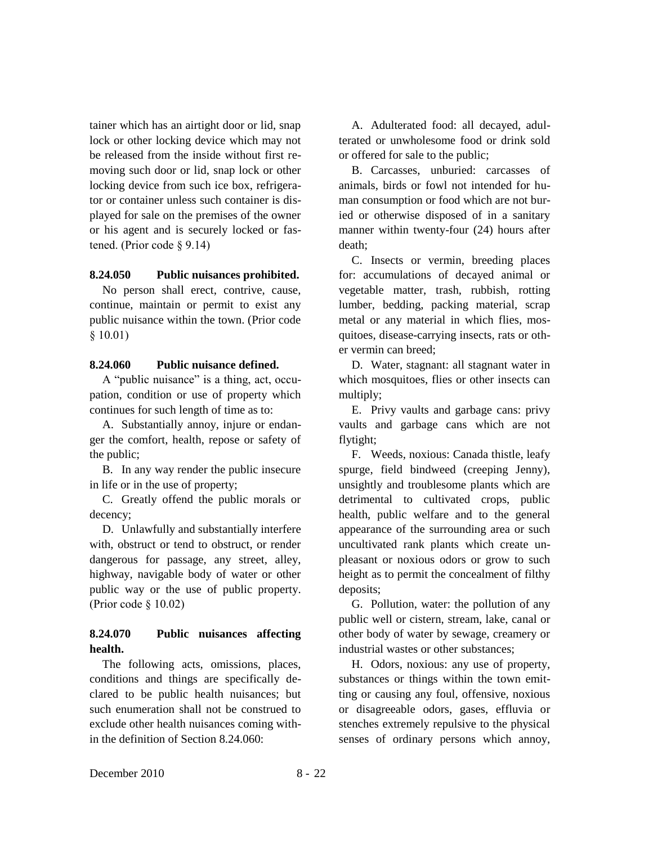tainer which has an airtight door or lid, snap lock or other locking device which may not be released from the inside without first removing such door or lid, snap lock or other locking device from such ice box, refrigerator or container unless such container is displayed for sale on the premises of the owner or his agent and is securely locked or fastened. (Prior code § 9.14)

### **8.24.050 Public nuisances prohibited.**

No person shall erect, contrive, cause, continue, maintain or permit to exist any public nuisance within the town. (Prior code § 10.01)

### **8.24.060 Public nuisance defined.**

A "public nuisance" is a thing, act, occupation, condition or use of property which continues for such length of time as to:

A. Substantially annoy, injure or endanger the comfort, health, repose or safety of the public;

B. In any way render the public insecure in life or in the use of property;

C. Greatly offend the public morals or decency;

D. Unlawfully and substantially interfere with, obstruct or tend to obstruct, or render dangerous for passage, any street, alley, highway, navigable body of water or other public way or the use of public property. (Prior code § 10.02)

## **8.24.070 Public nuisances affecting health.**

The following acts, omissions, places, conditions and things are specifically declared to be public health nuisances; but such enumeration shall not be construed to exclude other health nuisances coming within the definition of Section 8.24.060:

A. Adulterated food: all decayed, adulterated or unwholesome food or drink sold or offered for sale to the public;

B. Carcasses, unburied: carcasses of animals, birds or fowl not intended for human consumption or food which are not buried or otherwise disposed of in a sanitary manner within twenty-four (24) hours after death;

C. Insects or vermin, breeding places for: accumulations of decayed animal or vegetable matter, trash, rubbish, rotting lumber, bedding, packing material, scrap metal or any material in which flies, mosquitoes, disease-carrying insects, rats or other vermin can breed;

D. Water, stagnant: all stagnant water in which mosquitoes, flies or other insects can multiply;

E. Privy vaults and garbage cans: privy vaults and garbage cans which are not flytight;

F. Weeds, noxious: Canada thistle, leafy spurge, field bindweed (creeping Jenny), unsightly and troublesome plants which are detrimental to cultivated crops, public health, public welfare and to the general appearance of the surrounding area or such uncultivated rank plants which create unpleasant or noxious odors or grow to such height as to permit the concealment of filthy deposits;

G. Pollution, water: the pollution of any public well or cistern, stream, lake, canal or other body of water by sewage, creamery or industrial wastes or other substances;

H. Odors, noxious: any use of property, substances or things within the town emitting or causing any foul, offensive, noxious or disagreeable odors, gases, effluvia or stenches extremely repulsive to the physical senses of ordinary persons which annoy,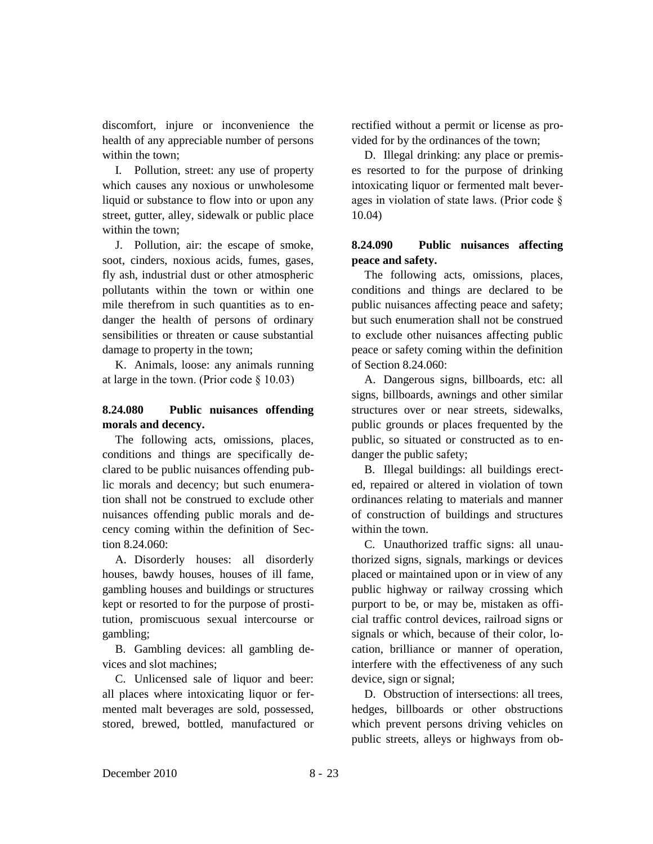discomfort, injure or inconvenience the health of any appreciable number of persons within the town;

I. Pollution, street: any use of property which causes any noxious or unwholesome liquid or substance to flow into or upon any street, gutter, alley, sidewalk or public place within the town;

J. Pollution, air: the escape of smoke, soot, cinders, noxious acids, fumes, gases, fly ash, industrial dust or other atmospheric pollutants within the town or within one mile therefrom in such quantities as to endanger the health of persons of ordinary sensibilities or threaten or cause substantial damage to property in the town;

K. Animals, loose: any animals running at large in the town. (Prior code § 10.03)

# **8.24.080 Public nuisances offending morals and decency.**

The following acts, omissions, places, conditions and things are specifically declared to be public nuisances offending public morals and decency; but such enumeration shall not be construed to exclude other nuisances offending public morals and decency coming within the definition of Section 8.24.060:

A. Disorderly houses: all disorderly houses, bawdy houses, houses of ill fame, gambling houses and buildings or structures kept or resorted to for the purpose of prostitution, promiscuous sexual intercourse or gambling;

B. Gambling devices: all gambling devices and slot machines;

C. Unlicensed sale of liquor and beer: all places where intoxicating liquor or fermented malt beverages are sold, possessed, stored, brewed, bottled, manufactured or rectified without a permit or license as provided for by the ordinances of the town;

D. Illegal drinking: any place or premises resorted to for the purpose of drinking intoxicating liquor or fermented malt beverages in violation of state laws. (Prior code § 10.04)

# **8.24.090 Public nuisances affecting peace and safety.**

The following acts, omissions, places, conditions and things are declared to be public nuisances affecting peace and safety; but such enumeration shall not be construed to exclude other nuisances affecting public peace or safety coming within the definition of Section 8.24.060:

A. Dangerous signs, billboards, etc: all signs, billboards, awnings and other similar structures over or near streets, sidewalks, public grounds or places frequented by the public, so situated or constructed as to endanger the public safety;

B. Illegal buildings: all buildings erected, repaired or altered in violation of town ordinances relating to materials and manner of construction of buildings and structures within the town.

C. Unauthorized traffic signs: all unauthorized signs, signals, markings or devices placed or maintained upon or in view of any public highway or railway crossing which purport to be, or may be, mistaken as official traffic control devices, railroad signs or signals or which, because of their color, location, brilliance or manner of operation, interfere with the effectiveness of any such device, sign or signal;

D. Obstruction of intersections: all trees, hedges, billboards or other obstructions which prevent persons driving vehicles on public streets, alleys or highways from ob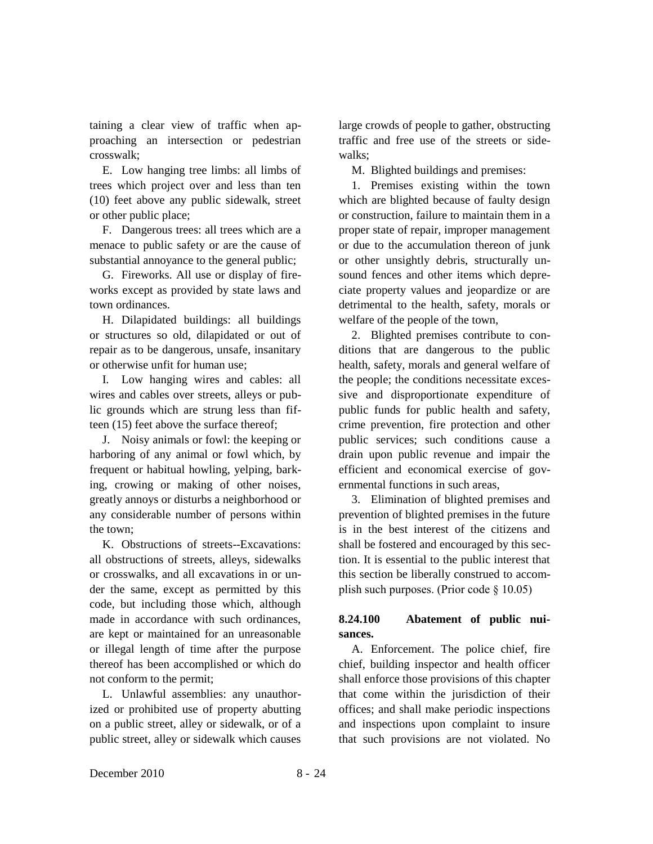taining a clear view of traffic when approaching an intersection or pedestrian crosswalk;

E. Low hanging tree limbs: all limbs of trees which project over and less than ten (10) feet above any public sidewalk, street or other public place;

F. Dangerous trees: all trees which are a menace to public safety or are the cause of substantial annoyance to the general public;

G. Fireworks. All use or display of fireworks except as provided by state laws and town ordinances.

H. Dilapidated buildings: all buildings or structures so old, dilapidated or out of repair as to be dangerous, unsafe, insanitary or otherwise unfit for human use;

I. Low hanging wires and cables: all wires and cables over streets, alleys or public grounds which are strung less than fifteen (15) feet above the surface thereof;

J. Noisy animals or fowl: the keeping or harboring of any animal or fowl which, by frequent or habitual howling, yelping, barking, crowing or making of other noises, greatly annoys or disturbs a neighborhood or any considerable number of persons within the town;

K. Obstructions of streets--Excavations: all obstructions of streets, alleys, sidewalks or crosswalks, and all excavations in or under the same, except as permitted by this code, but including those which, although made in accordance with such ordinances, are kept or maintained for an unreasonable or illegal length of time after the purpose thereof has been accomplished or which do not conform to the permit;

L. Unlawful assemblies: any unauthorized or prohibited use of property abutting on a public street, alley or sidewalk, or of a public street, alley or sidewalk which causes large crowds of people to gather, obstructing traffic and free use of the streets or sidewalks;

M. Blighted buildings and premises:

1. Premises existing within the town which are blighted because of faulty design or construction, failure to maintain them in a proper state of repair, improper management or due to the accumulation thereon of junk or other unsightly debris, structurally unsound fences and other items which depreciate property values and jeopardize or are detrimental to the health, safety, morals or welfare of the people of the town,

2. Blighted premises contribute to conditions that are dangerous to the public health, safety, morals and general welfare of the people; the conditions necessitate excessive and disproportionate expenditure of public funds for public health and safety, crime prevention, fire protection and other public services; such conditions cause a drain upon public revenue and impair the efficient and economical exercise of governmental functions in such areas,

3. Elimination of blighted premises and prevention of blighted premises in the future is in the best interest of the citizens and shall be fostered and encouraged by this section. It is essential to the public interest that this section be liberally construed to accomplish such purposes. (Prior code § 10.05)

# **8.24.100 Abatement of public nuisances.**

A. Enforcement. The police chief, fire chief, building inspector and health officer shall enforce those provisions of this chapter that come within the jurisdiction of their offices; and shall make periodic inspections and inspections upon complaint to insure that such provisions are not violated. No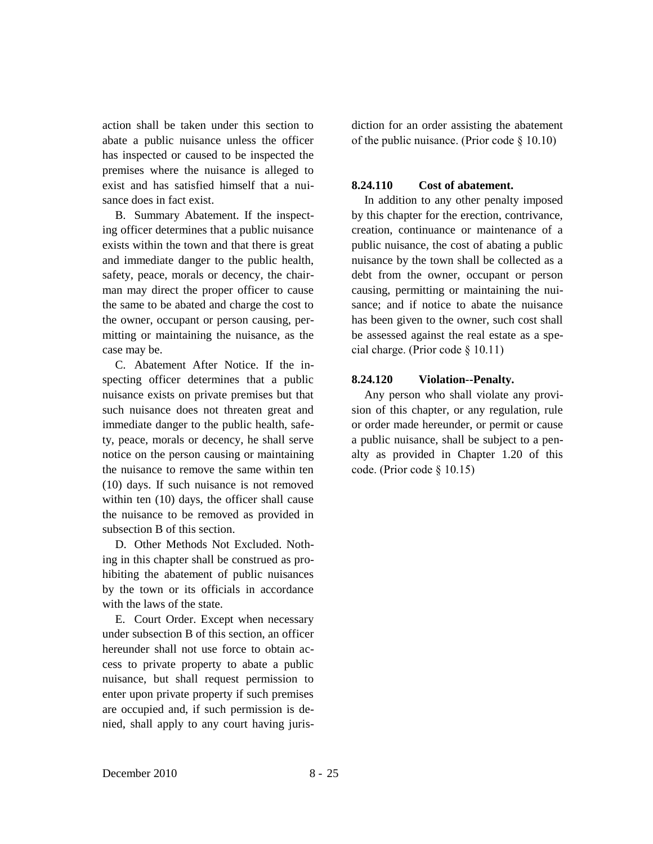action shall be taken under this section to abate a public nuisance unless the officer has inspected or caused to be inspected the premises where the nuisance is alleged to exist and has satisfied himself that a nuisance does in fact exist.

B. Summary Abatement. If the inspecting officer determines that a public nuisance exists within the town and that there is great and immediate danger to the public health, safety, peace, morals or decency, the chairman may direct the proper officer to cause the same to be abated and charge the cost to the owner, occupant or person causing, permitting or maintaining the nuisance, as the case may be.

C. Abatement After Notice. If the inspecting officer determines that a public nuisance exists on private premises but that such nuisance does not threaten great and immediate danger to the public health, safety, peace, morals or decency, he shall serve notice on the person causing or maintaining the nuisance to remove the same within ten (10) days. If such nuisance is not removed within ten (10) days, the officer shall cause the nuisance to be removed as provided in subsection B of this section.

D. Other Methods Not Excluded. Nothing in this chapter shall be construed as prohibiting the abatement of public nuisances by the town or its officials in accordance with the laws of the state.

E. Court Order. Except when necessary under subsection B of this section, an officer hereunder shall not use force to obtain access to private property to abate a public nuisance, but shall request permission to enter upon private property if such premises are occupied and, if such permission is denied, shall apply to any court having jurisdiction for an order assisting the abatement of the public nuisance. (Prior code § 10.10)

#### **8.24.110 Cost of abatement.**

In addition to any other penalty imposed by this chapter for the erection, contrivance, creation, continuance or maintenance of a public nuisance, the cost of abating a public nuisance by the town shall be collected as a debt from the owner, occupant or person causing, permitting or maintaining the nuisance; and if notice to abate the nuisance has been given to the owner, such cost shall be assessed against the real estate as a special charge. (Prior code § 10.11)

#### **8.24.120 Violation--Penalty.**

Any person who shall violate any provision of this chapter, or any regulation, rule or order made hereunder, or permit or cause a public nuisance, shall be subject to a penalty as provided in Chapter 1.20 of this code. (Prior code § 10.15)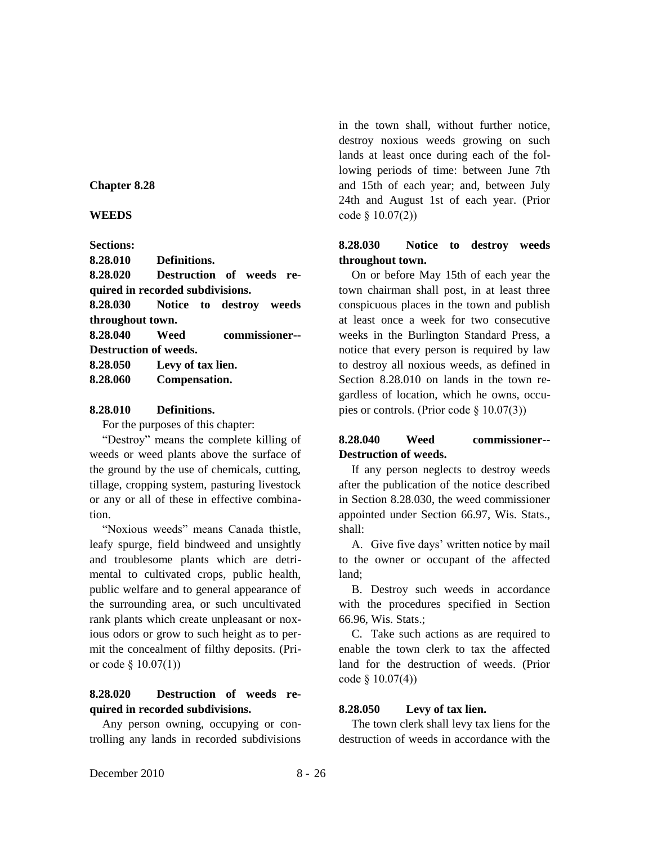### **Chapter 8.28**

**WEEDS**

**Sections:**

**8.28.010 Definitions.**

**8.28.020 Destruction of weeds required in recorded subdivisions.**

**8.28.030 Notice to destroy weeds throughout town.**

**8.28.040 Weed commissioner-- Destruction of weeds.**

**8.28.050 Levy of tax lien.**

**8.28.060 Compensation.**

## **8.28.010 Definitions.**

For the purposes of this chapter:

"Destroy" means the complete killing of weeds or weed plants above the surface of the ground by the use of chemicals, cutting, tillage, cropping system, pasturing livestock or any or all of these in effective combination.

"Noxious weeds" means Canada thistle, leafy spurge, field bindweed and unsightly and troublesome plants which are detrimental to cultivated crops, public health, public welfare and to general appearance of the surrounding area, or such uncultivated rank plants which create unpleasant or noxious odors or grow to such height as to permit the concealment of filthy deposits. (Prior code  $\S$  10.07(1))

# **8.28.020 Destruction of weeds required in recorded subdivisions.**

Any person owning, occupying or controlling any lands in recorded subdivisions in the town shall, without further notice, destroy noxious weeds growing on such lands at least once during each of the following periods of time: between June 7th and 15th of each year; and, between July 24th and August 1st of each year. (Prior code § 10.07(2))

# **8.28.030 Notice to destroy weeds throughout town.**

On or before May 15th of each year the town chairman shall post, in at least three conspicuous places in the town and publish at least once a week for two consecutive weeks in the Burlington Standard Press, a notice that every person is required by law to destroy all noxious weeds, as defined in Section 8.28.010 on lands in the town regardless of location, which he owns, occupies or controls. (Prior code § 10.07(3))

# **8.28.040 Weed commissioner-- Destruction of weeds.**

If any person neglects to destroy weeds after the publication of the notice described in Section 8.28.030, the weed commissioner appointed under Section 66.97, Wis. Stats., shall:

A. Give five days' written notice by mail to the owner or occupant of the affected land;

B. Destroy such weeds in accordance with the procedures specified in Section 66.96, Wis. Stats.;

C. Take such actions as are required to enable the town clerk to tax the affected land for the destruction of weeds. (Prior code § 10.07(4))

## **8.28.050 Levy of tax lien.**

The town clerk shall levy tax liens for the destruction of weeds in accordance with the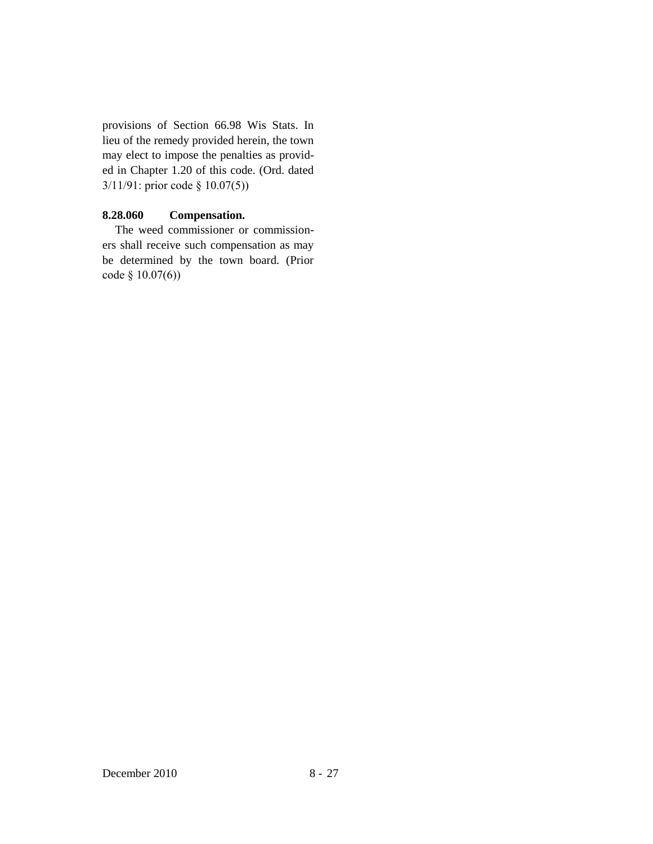provisions of Section 66.98 Wis Stats. In lieu of the remedy provided herein, the town may elect to impose the penalties as provided in Chapter 1.20 of this code. (Ord. dated 3/11/91: prior code § 10.07(5))

## **8.28.060 Compensation.**

The weed commissioner or commissioners shall receive such compensation as may be determined by the town board. (Prior code § 10.07(6))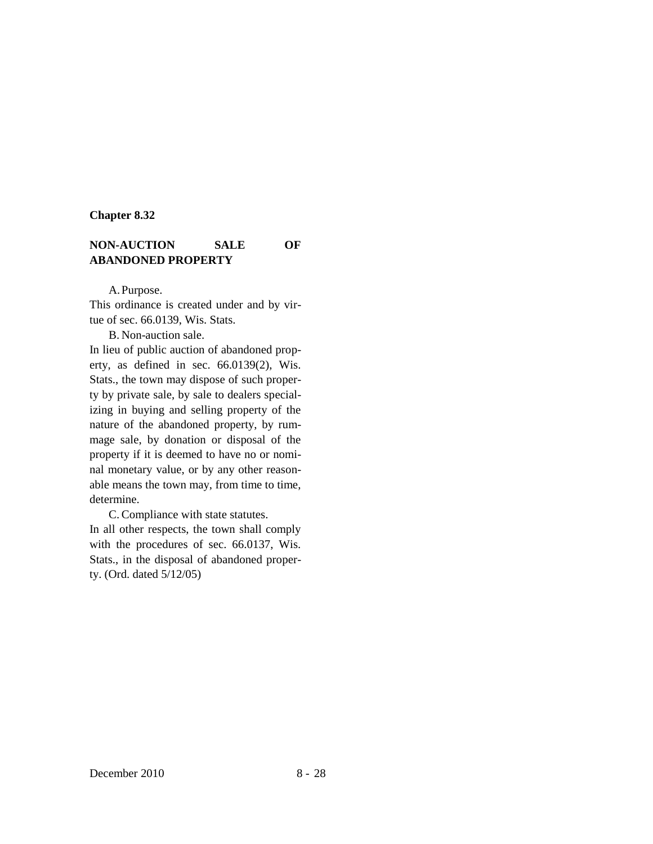#### **Chapter 8.32**

## **NON-AUCTION SALE OF ABANDONED PROPERTY**

A.Purpose.

This ordinance is created under and by virtue of sec. 66.0139, Wis. Stats.

B. Non-auction sale.

In lieu of public auction of abandoned property, as defined in sec. 66.0139(2), Wis. Stats., the town may dispose of such property by private sale, by sale to dealers specializing in buying and selling property of the nature of the abandoned property, by rummage sale, by donation or disposal of the property if it is deemed to have no or nominal monetary value, or by any other reasonable means the town may, from time to time, determine.

C. Compliance with state statutes. In all other respects, the town shall comply with the procedures of sec. 66.0137, Wis. Stats., in the disposal of abandoned property. (Ord. dated 5/12/05)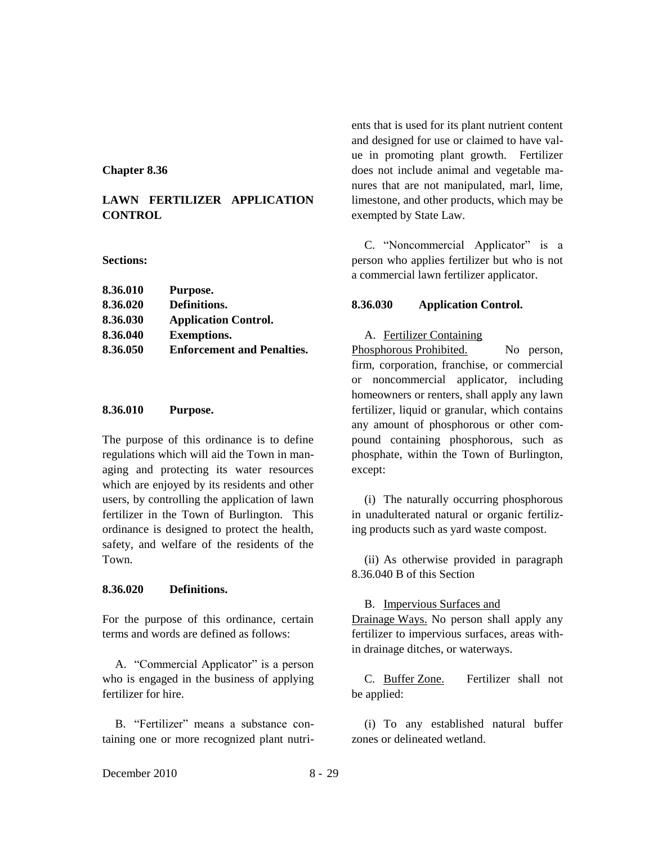#### **Chapter 8.36**

## **LAWN FERTILIZER APPLICATION CONTROL**

#### **Sections:**

| 8.36.010 | Purpose.                          |
|----------|-----------------------------------|
| 8.36.020 | Definitions.                      |
| 8.36.030 | <b>Application Control.</b>       |
| 8.36.040 | <b>Exemptions.</b>                |
| 8.36.050 | <b>Enforcement and Penalties.</b> |
|          |                                   |

### **8.36.010 Purpose.**

The purpose of this ordinance is to define regulations which will aid the Town in managing and protecting its water resources which are enjoyed by its residents and other users, by controlling the application of lawn fertilizer in the Town of Burlington. This ordinance is designed to protect the health, safety, and welfare of the residents of the Town.

### **8.36.020 Definitions.**

For the purpose of this ordinance, certain terms and words are defined as follows:

A. "Commercial Applicator" is a person who is engaged in the business of applying fertilizer for hire.

B. "Fertilizer" means a substance containing one or more recognized plant nutrients that is used for its plant nutrient content and designed for use or claimed to have value in promoting plant growth. Fertilizer does not include animal and vegetable manures that are not manipulated, marl, lime, limestone, and other products, which may be exempted by State Law.

C. "Noncommercial Applicator" is a person who applies fertilizer but who is not a commercial lawn fertilizer applicator.

### **8.36.030 Application Control.**

#### A. Fertilizer Containing

Phosphorous Prohibited. No person, firm, corporation, franchise, or commercial or noncommercial applicator, including homeowners or renters, shall apply any lawn fertilizer, liquid or granular, which contains any amount of phosphorous or other compound containing phosphorous, such as phosphate, within the Town of Burlington, except:

(i) The naturally occurring phosphorous in unadulterated natural or organic fertilizing products such as yard waste compost.

(ii) As otherwise provided in paragraph 8.36.040 B of this Section

#### B. Impervious Surfaces and

Drainage Ways. No person shall apply any fertilizer to impervious surfaces, areas within drainage ditches, or waterways.

C. Buffer Zone. Fertilizer shall not be applied:

(i) To any established natural buffer zones or delineated wetland.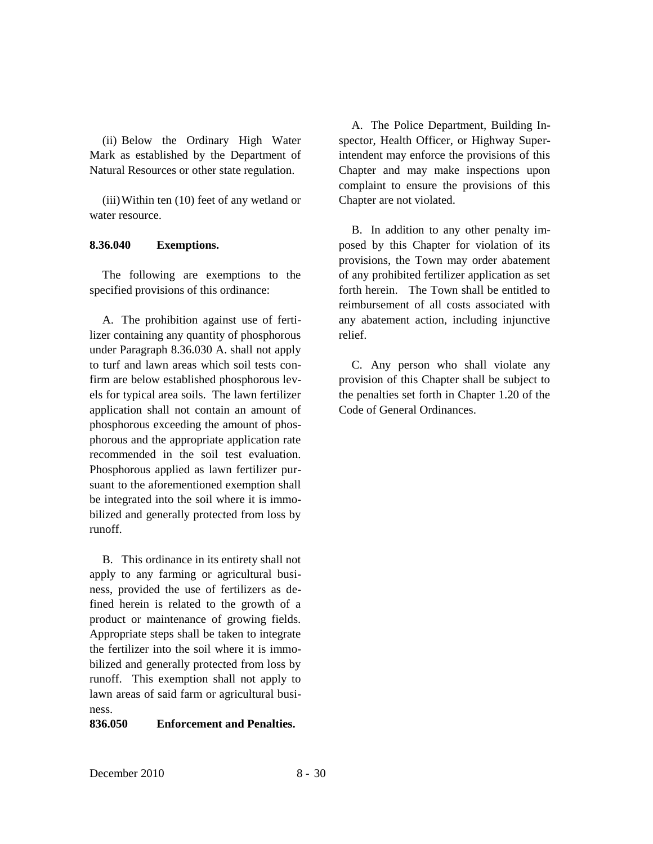(ii) Below the Ordinary High Water Mark as established by the Department of Natural Resources or other state regulation.

(iii)Within ten (10) feet of any wetland or water resource.

### **8.36.040 Exemptions.**

The following are exemptions to the specified provisions of this ordinance:

A. The prohibition against use of fertilizer containing any quantity of phosphorous under Paragraph 8.36.030 A. shall not apply to turf and lawn areas which soil tests confirm are below established phosphorous levels for typical area soils. The lawn fertilizer application shall not contain an amount of phosphorous exceeding the amount of phosphorous and the appropriate application rate recommended in the soil test evaluation. Phosphorous applied as lawn fertilizer pursuant to the aforementioned exemption shall be integrated into the soil where it is immobilized and generally protected from loss by runoff.

B. This ordinance in its entirety shall not apply to any farming or agricultural business, provided the use of fertilizers as defined herein is related to the growth of a product or maintenance of growing fields. Appropriate steps shall be taken to integrate the fertilizer into the soil where it is immobilized and generally protected from loss by runoff. This exemption shall not apply to lawn areas of said farm or agricultural business.

## **836.050 Enforcement and Penalties.**

A. The Police Department, Building Inspector, Health Officer, or Highway Superintendent may enforce the provisions of this Chapter and may make inspections upon complaint to ensure the provisions of this Chapter are not violated.

B. In addition to any other penalty imposed by this Chapter for violation of its provisions, the Town may order abatement of any prohibited fertilizer application as set forth herein. The Town shall be entitled to reimbursement of all costs associated with any abatement action, including injunctive relief.

C. Any person who shall violate any provision of this Chapter shall be subject to the penalties set forth in Chapter 1.20 of the Code of General Ordinances.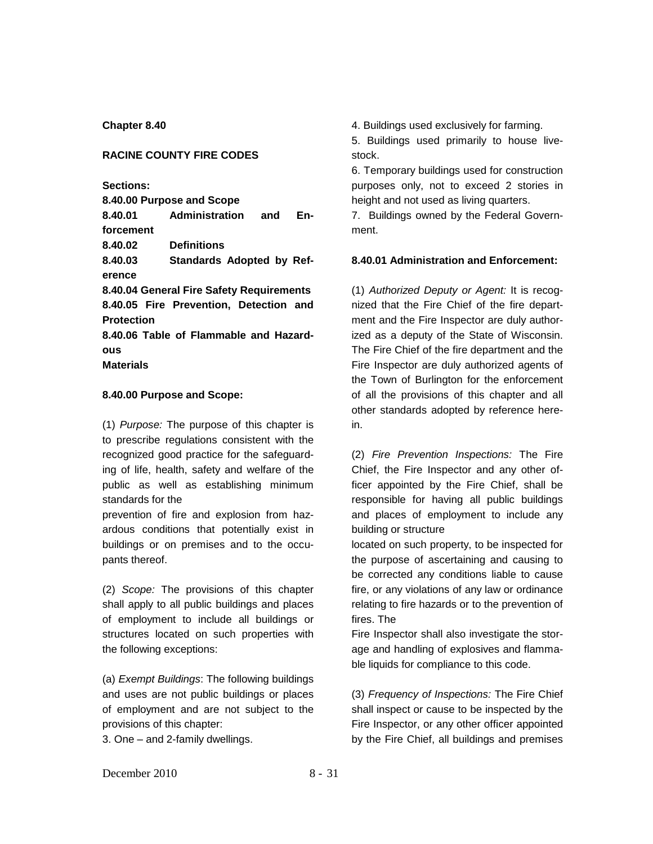**Chapter 8.40**

#### **RACINE COUNTY FIRE CODES**

**Sections:**

**8.40.00 Purpose and Scope 8.40.01 Administration and Enforcement 8.40.02 Definitions 8.40.03 Standards Adopted by Reference 8.40.04 General Fire Safety Requirements 8.40.05 Fire Prevention, Detection and Protection 8.40.06 Table of Flammable and Hazardous Materials**

#### **8.40.00 Purpose and Scope:**

(1) *Purpose:* The purpose of this chapter is to prescribe regulations consistent with the recognized good practice for the safeguarding of life, health, safety and welfare of the public as well as establishing minimum standards for the

prevention of fire and explosion from hazardous conditions that potentially exist in buildings or on premises and to the occupants thereof.

(2) *Scope:* The provisions of this chapter shall apply to all public buildings and places of employment to include all buildings or structures located on such properties with the following exceptions:

(a) *Exempt Buildings*: The following buildings and uses are not public buildings or places of employment and are not subject to the provisions of this chapter:

3. One – and 2-family dwellings.

4. Buildings used exclusively for farming.

5. Buildings used primarily to house livestock.

6. Temporary buildings used for construction purposes only, not to exceed 2 stories in height and not used as living quarters.

7. Buildings owned by the Federal Government.

#### **8.40.01 Administration and Enforcement:**

(1) *Authorized Deputy or Agent:* It is recognized that the Fire Chief of the fire department and the Fire Inspector are duly authorized as a deputy of the State of Wisconsin. The Fire Chief of the fire department and the Fire Inspector are duly authorized agents of the Town of Burlington for the enforcement of all the provisions of this chapter and all other standards adopted by reference herein.

(2) *Fire Prevention Inspections:* The Fire Chief, the Fire Inspector and any other officer appointed by the Fire Chief, shall be responsible for having all public buildings and places of employment to include any building or structure

located on such property, to be inspected for the purpose of ascertaining and causing to be corrected any conditions liable to cause fire, or any violations of any law or ordinance relating to fire hazards or to the prevention of fires. The

Fire Inspector shall also investigate the storage and handling of explosives and flammable liquids for compliance to this code.

(3) *Frequency of Inspections:* The Fire Chief shall inspect or cause to be inspected by the Fire Inspector, or any other officer appointed by the Fire Chief, all buildings and premises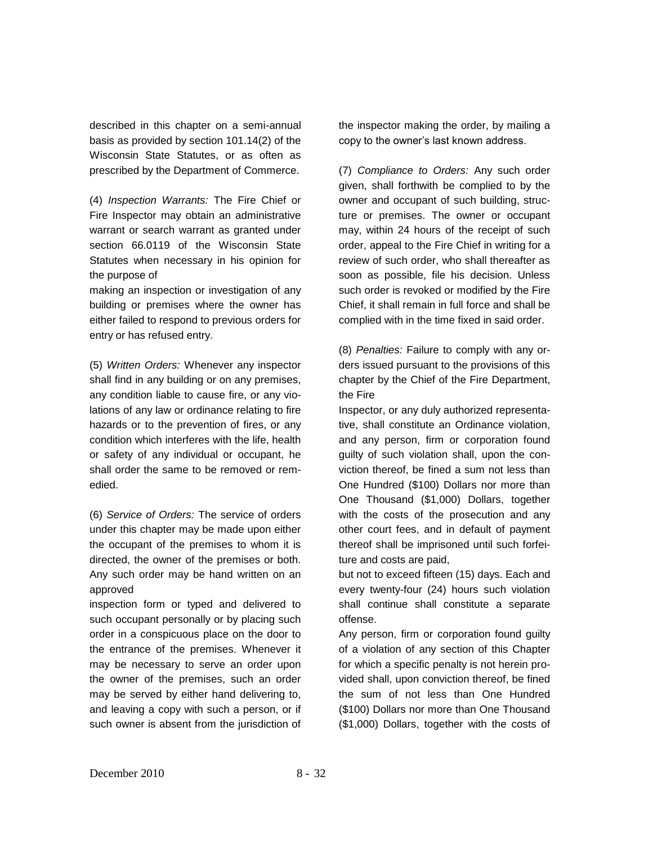described in this chapter on a semi-annual basis as provided by section 101.14(2) of the Wisconsin State Statutes, or as often as prescribed by the Department of Commerce.

(4) *Inspection Warrants:* The Fire Chief or Fire Inspector may obtain an administrative warrant or search warrant as granted under section 66.0119 of the Wisconsin State Statutes when necessary in his opinion for the purpose of

making an inspection or investigation of any building or premises where the owner has either failed to respond to previous orders for entry or has refused entry.

(5) *Written Orders:* Whenever any inspector shall find in any building or on any premises, any condition liable to cause fire, or any violations of any law or ordinance relating to fire hazards or to the prevention of fires, or any condition which interferes with the life, health or safety of any individual or occupant, he shall order the same to be removed or remedied.

(6) *Service of Orders:* The service of orders under this chapter may be made upon either the occupant of the premises to whom it is directed, the owner of the premises or both. Any such order may be hand written on an approved

inspection form or typed and delivered to such occupant personally or by placing such order in a conspicuous place on the door to the entrance of the premises. Whenever it may be necessary to serve an order upon the owner of the premises, such an order may be served by either hand delivering to, and leaving a copy with such a person, or if such owner is absent from the jurisdiction of

the inspector making the order, by mailing a copy to the owner's last known address.

(7) *Compliance to Orders:* Any such order given, shall forthwith be complied to by the owner and occupant of such building, structure or premises. The owner or occupant may, within 24 hours of the receipt of such order, appeal to the Fire Chief in writing for a review of such order, who shall thereafter as soon as possible, file his decision. Unless such order is revoked or modified by the Fire Chief, it shall remain in full force and shall be complied with in the time fixed in said order.

(8) *Penalties:* Failure to comply with any orders issued pursuant to the provisions of this chapter by the Chief of the Fire Department, the Fire

Inspector, or any duly authorized representative, shall constitute an Ordinance violation, and any person, firm or corporation found guilty of such violation shall, upon the conviction thereof, be fined a sum not less than One Hundred (\$100) Dollars nor more than One Thousand (\$1,000) Dollars, together with the costs of the prosecution and any other court fees, and in default of payment thereof shall be imprisoned until such forfeiture and costs are paid,

but not to exceed fifteen (15) days. Each and every twenty-four (24) hours such violation shall continue shall constitute a separate offense.

Any person, firm or corporation found guilty of a violation of any section of this Chapter for which a specific penalty is not herein provided shall, upon conviction thereof, be fined the sum of not less than One Hundred (\$100) Dollars nor more than One Thousand (\$1,000) Dollars, together with the costs of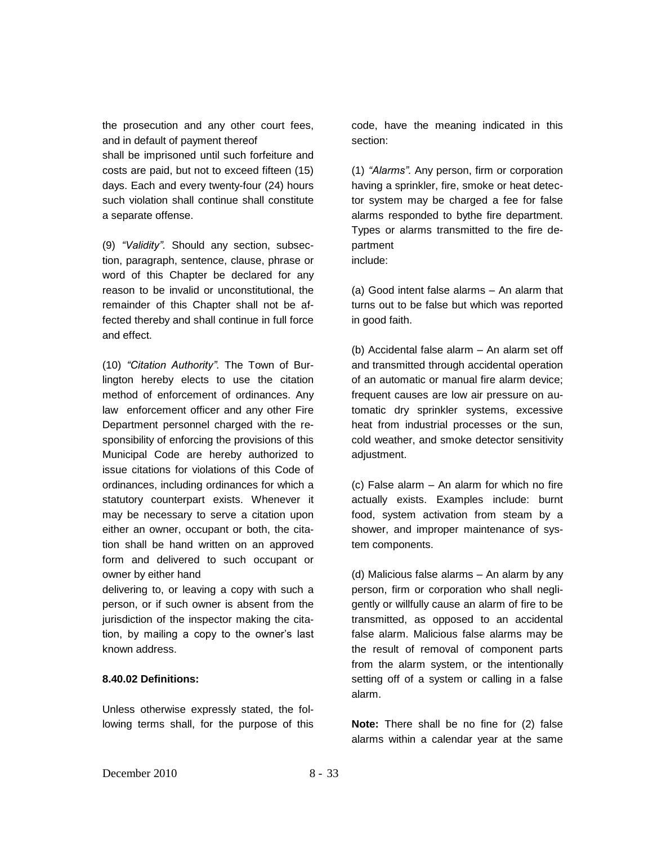the prosecution and any other court fees, and in default of payment thereof

shall be imprisoned until such forfeiture and costs are paid, but not to exceed fifteen (15) days. Each and every twenty-four (24) hours such violation shall continue shall constitute a separate offense.

(9) *"Validity".* Should any section, subsection, paragraph, sentence, clause, phrase or word of this Chapter be declared for any reason to be invalid or unconstitutional, the remainder of this Chapter shall not be affected thereby and shall continue in full force and effect.

(10) *"Citation Authority".* The Town of Burlington hereby elects to use the citation method of enforcement of ordinances. Any law enforcement officer and any other Fire Department personnel charged with the responsibility of enforcing the provisions of this Municipal Code are hereby authorized to issue citations for violations of this Code of ordinances, including ordinances for which a statutory counterpart exists. Whenever it may be necessary to serve a citation upon either an owner, occupant or both, the citation shall be hand written on an approved form and delivered to such occupant or owner by either hand

delivering to, or leaving a copy with such a person, or if such owner is absent from the jurisdiction of the inspector making the citation, by mailing a copy to the owner's last known address.

## **8.40.02 Definitions:**

Unless otherwise expressly stated, the following terms shall, for the purpose of this

code, have the meaning indicated in this section:

(1) *"Alarms".* Any person, firm or corporation having a sprinkler, fire, smoke or heat detector system may be charged a fee for false alarms responded to bythe fire department. Types or alarms transmitted to the fire department

include:

(a) Good intent false alarms – An alarm that turns out to be false but which was reported in good faith.

(b) Accidental false alarm – An alarm set off and transmitted through accidental operation of an automatic or manual fire alarm device; frequent causes are low air pressure on automatic dry sprinkler systems, excessive heat from industrial processes or the sun, cold weather, and smoke detector sensitivity adjustment.

(c) False alarm – An alarm for which no fire actually exists. Examples include: burnt food, system activation from steam by a shower, and improper maintenance of system components.

(d) Malicious false alarms – An alarm by any person, firm or corporation who shall negligently or willfully cause an alarm of fire to be transmitted, as opposed to an accidental false alarm. Malicious false alarms may be the result of removal of component parts from the alarm system, or the intentionally setting off of a system or calling in a false alarm.

**Note:** There shall be no fine for (2) false alarms within a calendar year at the same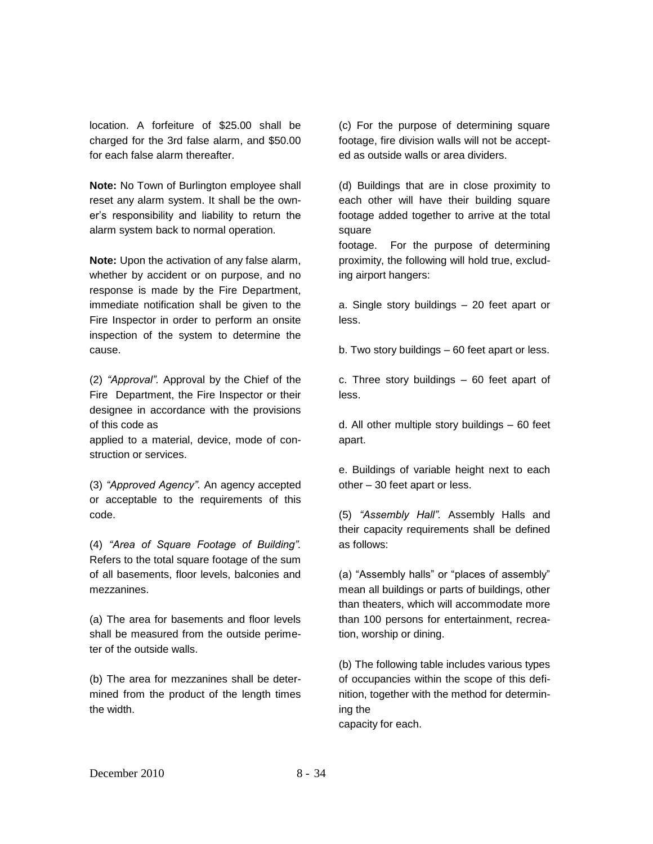location. A forfeiture of \$25.00 shall be charged for the 3rd false alarm, and \$50.00 for each false alarm thereafter.

**Note:** No Town of Burlington employee shall reset any alarm system. It shall be the owner's responsibility and liability to return the alarm system back to normal operation.

**Note:** Upon the activation of any false alarm, whether by accident or on purpose, and no response is made by the Fire Department, immediate notification shall be given to the Fire Inspector in order to perform an onsite inspection of the system to determine the cause.

(2) *"Approval".* Approval by the Chief of the Fire Department, the Fire Inspector or their designee in accordance with the provisions of this code as

applied to a material, device, mode of construction or services.

(3) *"Approved Agency".* An agency accepted or acceptable to the requirements of this code.

(4) *"Area of Square Footage of Building".*  Refers to the total square footage of the sum of all basements, floor levels, balconies and mezzanines.

(a) The area for basements and floor levels shall be measured from the outside perimeter of the outside walls.

(b) The area for mezzanines shall be determined from the product of the length times the width.

(c) For the purpose of determining square footage, fire division walls will not be accepted as outside walls or area dividers.

(d) Buildings that are in close proximity to each other will have their building square footage added together to arrive at the total square

footage. For the purpose of determining proximity, the following will hold true, excluding airport hangers:

a. Single story buildings – 20 feet apart or less.

b. Two story buildings – 60 feet apart or less.

c. Three story buildings – 60 feet apart of less.

d. All other multiple story buildings – 60 feet apart.

e. Buildings of variable height next to each other – 30 feet apart or less.

(5) *"Assembly Hall".* Assembly Halls and their capacity requirements shall be defined as follows:

(a) "Assembly halls" or "places of assembly" mean all buildings or parts of buildings, other than theaters, which will accommodate more than 100 persons for entertainment, recreation, worship or dining.

(b) The following table includes various types of occupancies within the scope of this definition, together with the method for determining the capacity for each.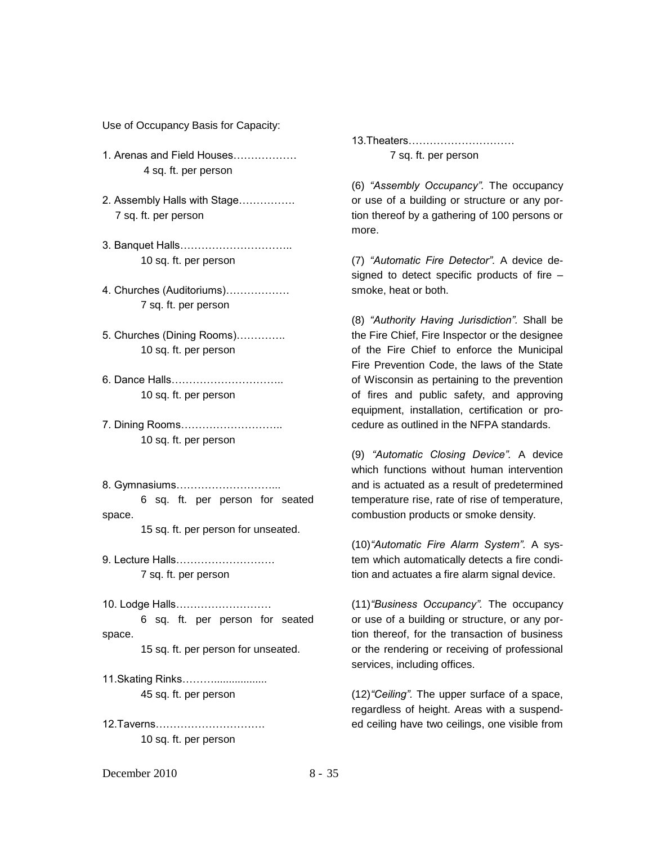Use of Occupancy Basis for Capacity:

- 1. Arenas and Field Houses……………… 4 sq. ft. per person
- 2. Assembly Halls with Stage……………. 7 sq. ft. per person
- 3. Banquet Halls………………………….. 10 sq. ft. per person
- 4. Churches (Auditoriums)……………… 7 sq. ft. per person
- 5. Churches (Dining Rooms)………….. 10 sq. ft. per person
- 6. Dance Halls………………………….. 10 sq. ft. per person

7. Dining Rooms……………………….. 10 sq. ft. per person

8. Gymnasiums………………………...

6 sq. ft. per person for seated space.

15 sq. ft. per person for unseated.

9. Lecture Halls………………………. 7 sq. ft. per person

10. Lodge Halls……………………… 6 sq. ft. per person for seated space.

15 sq. ft. per person for unseated.

11.Skating Rinks……….................. 45 sq. ft. per person

12.Taverns…………………………. 10 sq. ft. per person

13.Theaters………………………… 7 sq. ft. per person

(6) *"Assembly Occupancy".* The occupancy or use of a building or structure or any portion thereof by a gathering of 100 persons or more.

(7) *"Automatic Fire Detector".* A device designed to detect specific products of fire – smoke, heat or both.

(8) *"Authority Having Jurisdiction".* Shall be the Fire Chief, Fire Inspector or the designee of the Fire Chief to enforce the Municipal Fire Prevention Code, the laws of the State of Wisconsin as pertaining to the prevention of fires and public safety, and approving equipment, installation, certification or procedure as outlined in the NFPA standards.

(9) *"Automatic Closing Device".* A device which functions without human intervention and is actuated as a result of predetermined temperature rise, rate of rise of temperature, combustion products or smoke density.

(10)*"Automatic Fire Alarm System".* A system which automatically detects a fire condition and actuates a fire alarm signal device.

(11)*"Business Occupancy".* The occupancy or use of a building or structure, or any portion thereof, for the transaction of business or the rendering or receiving of professional services, including offices.

(12)*"Ceiling".* The upper surface of a space, regardless of height. Areas with a suspended ceiling have two ceilings, one visible from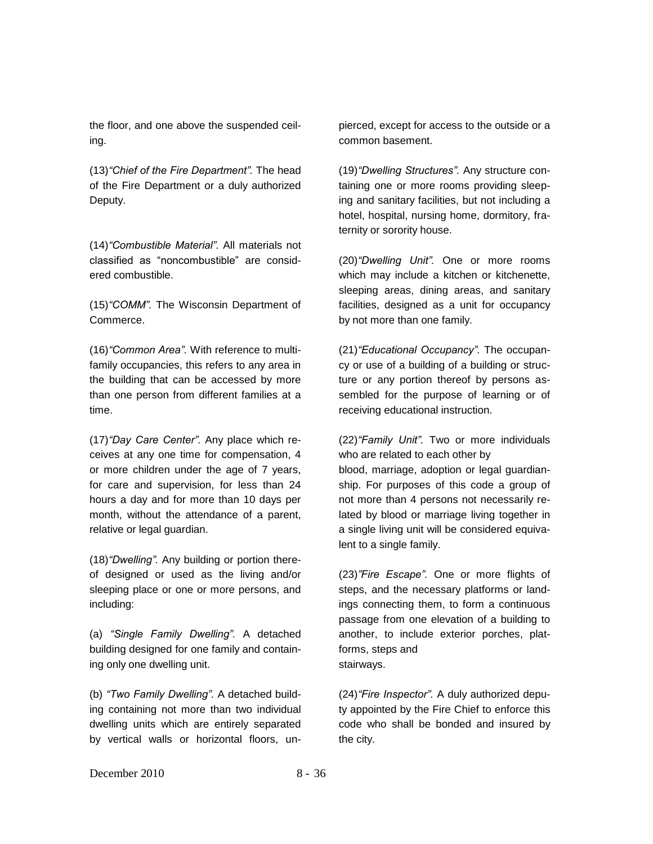the floor, and one above the suspended ceiling.

(13)*"Chief of the Fire Department".* The head of the Fire Department or a duly authorized Deputy.

(14)*"Combustible Material".* All materials not classified as "noncombustible" are considered combustible.

(15)*"COMM".* The Wisconsin Department of Commerce.

(16)*"Common Area".* With reference to multifamily occupancies, this refers to any area in the building that can be accessed by more than one person from different families at a time.

(17)*"Day Care Center".* Any place which receives at any one time for compensation, 4 or more children under the age of 7 years, for care and supervision, for less than 24 hours a day and for more than 10 days per month, without the attendance of a parent, relative or legal guardian.

(18)*"Dwelling".* Any building or portion thereof designed or used as the living and/or sleeping place or one or more persons, and including:

(a) *"Single Family Dwelling".* A detached building designed for one family and containing only one dwelling unit.

(b) *"Two Family Dwelling".* A detached building containing not more than two individual dwelling units which are entirely separated by vertical walls or horizontal floors, unpierced, except for access to the outside or a common basement.

(19)*"Dwelling Structures".* Any structure containing one or more rooms providing sleeping and sanitary facilities, but not including a hotel, hospital, nursing home, dormitory, fraternity or sorority house.

(20)*"Dwelling Unit".* One or more rooms which may include a kitchen or kitchenette, sleeping areas, dining areas, and sanitary facilities, designed as a unit for occupancy by not more than one family.

(21)*"Educational Occupancy".* The occupancy or use of a building of a building or structure or any portion thereof by persons assembled for the purpose of learning or of receiving educational instruction.

(22)*"Family Unit".* Two or more individuals who are related to each other by blood, marriage, adoption or legal guardianship. For purposes of this code a group of not more than 4 persons not necessarily related by blood or marriage living together in a single living unit will be considered equivalent to a single family.

(23)*"Fire Escape".* One or more flights of steps, and the necessary platforms or landings connecting them, to form a continuous passage from one elevation of a building to another, to include exterior porches, platforms, steps and stairways.

(24)*"Fire Inspector".* A duly authorized deputy appointed by the Fire Chief to enforce this code who shall be bonded and insured by the city.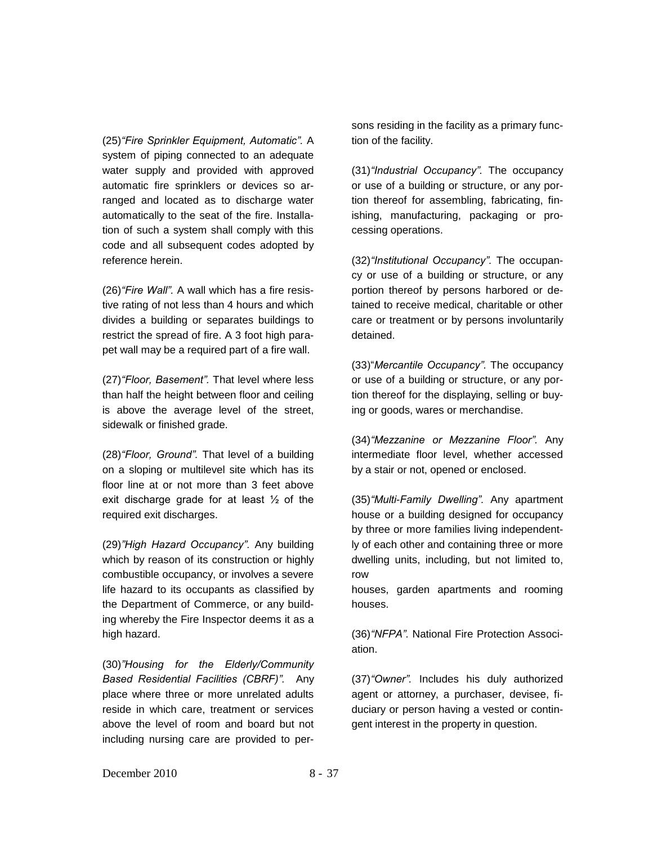(25)*"Fire Sprinkler Equipment, Automatic".* A system of piping connected to an adequate water supply and provided with approved automatic fire sprinklers or devices so arranged and located as to discharge water automatically to the seat of the fire. Installation of such a system shall comply with this code and all subsequent codes adopted by reference herein.

(26)*"Fire Wall".* A wall which has a fire resistive rating of not less than 4 hours and which divides a building or separates buildings to restrict the spread of fire. A 3 foot high parapet wall may be a required part of a fire wall.

(27)*"Floor, Basement".* That level where less than half the height between floor and ceiling is above the average level of the street, sidewalk or finished grade.

(28)*"Floor, Ground".* That level of a building on a sloping or multilevel site which has its floor line at or not more than 3 feet above exit discharge grade for at least  $\frac{1}{2}$  of the required exit discharges.

(29)*"High Hazard Occupancy".* Any building which by reason of its construction or highly combustible occupancy, or involves a severe life hazard to its occupants as classified by the Department of Commerce, or any building whereby the Fire Inspector deems it as a high hazard.

(30)*"Housing for the Elderly/Community Based Residential Facilities (CBRF)".* Any place where three or more unrelated adults reside in which care, treatment or services above the level of room and board but not including nursing care are provided to per-

sons residing in the facility as a primary function of the facility.

(31)*"Industrial Occupancy".* The occupancy or use of a building or structure, or any portion thereof for assembling, fabricating, finishing, manufacturing, packaging or processing operations.

(32)*"Institutional Occupancy".* The occupancy or use of a building or structure, or any portion thereof by persons harbored or detained to receive medical, charitable or other care or treatment or by persons involuntarily detained.

(33)"*Mercantile Occupancy".* The occupancy or use of a building or structure, or any portion thereof for the displaying, selling or buying or goods, wares or merchandise.

(34)*"Mezzanine or Mezzanine Floor".* Any intermediate floor level, whether accessed by a stair or not, opened or enclosed.

(35)*"Multi-Family Dwelling".* Any apartment house or a building designed for occupancy by three or more families living independently of each other and containing three or more dwelling units, including, but not limited to, row

houses, garden apartments and rooming houses.

(36)*"NFPA".* National Fire Protection Association.

(37)*"Owner".* Includes his duly authorized agent or attorney, a purchaser, devisee, fiduciary or person having a vested or contingent interest in the property in question.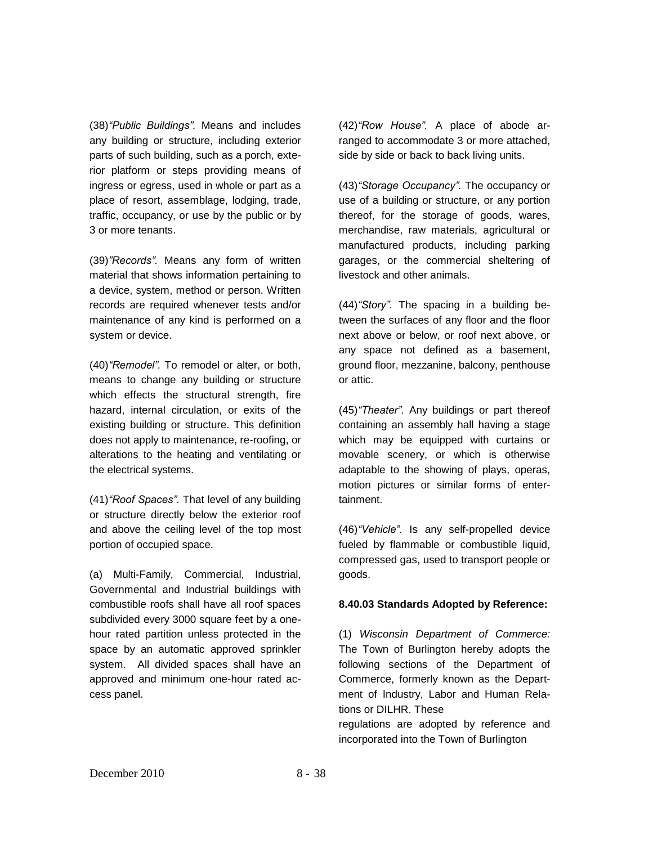(38)*"Public Buildings".* Means and includes any building or structure, including exterior parts of such building, such as a porch, exterior platform or steps providing means of ingress or egress, used in whole or part as a place of resort, assemblage, lodging, trade, traffic, occupancy, or use by the public or by 3 or more tenants.

(39)*"Records".* Means any form of written material that shows information pertaining to a device, system, method or person. Written records are required whenever tests and/or maintenance of any kind is performed on a system or device.

(40)*"Remodel".* To remodel or alter, or both, means to change any building or structure which effects the structural strength, fire hazard, internal circulation, or exits of the existing building or structure. This definition does not apply to maintenance, re-roofing, or alterations to the heating and ventilating or the electrical systems.

(41)*"Roof Spaces".* That level of any building or structure directly below the exterior roof and above the ceiling level of the top most portion of occupied space.

(a) Multi-Family, Commercial, Industrial, Governmental and Industrial buildings with combustible roofs shall have all roof spaces subdivided every 3000 square feet by a onehour rated partition unless protected in the space by an automatic approved sprinkler system. All divided spaces shall have an approved and minimum one-hour rated access panel.

(42)*"Row House".* A place of abode arranged to accommodate 3 or more attached, side by side or back to back living units.

(43)*"Storage Occupancy".* The occupancy or use of a building or structure, or any portion thereof, for the storage of goods, wares, merchandise, raw materials, agricultural or manufactured products, including parking garages, or the commercial sheltering of livestock and other animals.

(44)*"Story".* The spacing in a building between the surfaces of any floor and the floor next above or below, or roof next above, or any space not defined as a basement, ground floor, mezzanine, balcony, penthouse or attic.

(45)*"Theater".* Any buildings or part thereof containing an assembly hall having a stage which may be equipped with curtains or movable scenery, or which is otherwise adaptable to the showing of plays, operas, motion pictures or similar forms of entertainment.

(46)*"Vehicle".* Is any self-propelled device fueled by flammable or combustible liquid, compressed gas, used to transport people or goods.

### **8.40.03 Standards Adopted by Reference:**

(1) *Wisconsin Department of Commerce:*  The Town of Burlington hereby adopts the following sections of the Department of Commerce, formerly known as the Department of Industry, Labor and Human Relations or DILHR. These

regulations are adopted by reference and incorporated into the Town of Burlington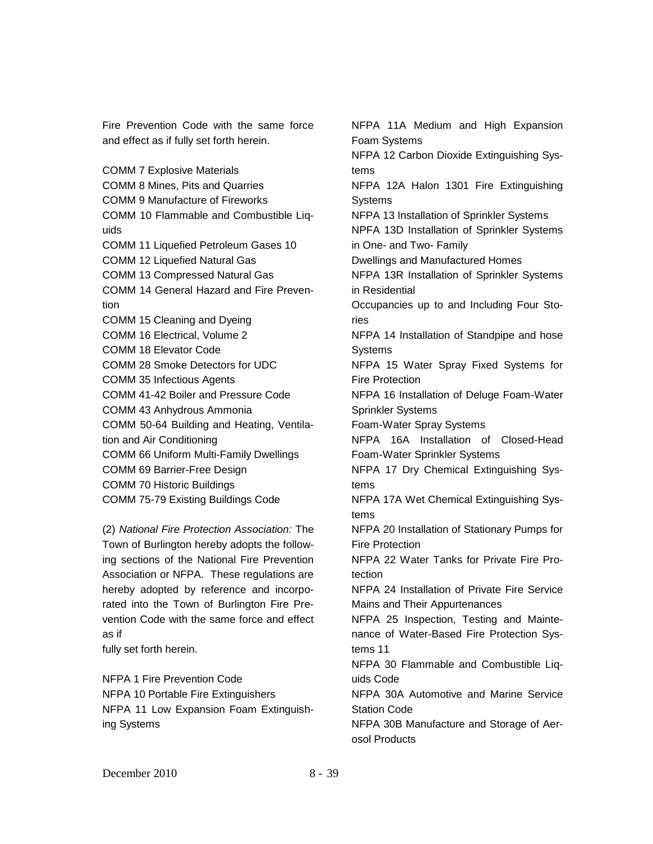Fire Prevention Code with the same force and effect as if fully set forth herein.

COMM 7 Explosive Materials COMM 8 Mines, Pits and Quarries COMM 9 Manufacture of Fireworks COMM 10 Flammable and Combustible Liquids COMM 11 Liquefied Petroleum Gases 10 COMM 12 Liquefied Natural Gas COMM 13 Compressed Natural Gas COMM 14 General Hazard and Fire Prevention COMM 15 Cleaning and Dyeing COMM 16 Electrical, Volume 2 COMM 18 Elevator Code COMM 28 Smoke Detectors for UDC COMM 35 Infectious Agents COMM 41-42 Boiler and Pressure Code COMM 43 Anhydrous Ammonia COMM 50-64 Building and Heating, Ventilation and Air Conditioning COMM 66 Uniform Multi-Family Dwellings COMM 69 Barrier-Free Design COMM 70 Historic Buildings COMM 75-79 Existing Buildings Code

(2) *National Fire Protection Association:* The Town of Burlington hereby adopts the following sections of the National Fire Prevention Association or NFPA. These regulations are hereby adopted by reference and incorporated into the Town of Burlington Fire Prevention Code with the same force and effect as if

fully set forth herein.

NFPA 1 Fire Prevention Code NFPA 10 Portable Fire Extinguishers NFPA 11 Low Expansion Foam Extinguishing Systems

NFPA 11A Medium and High Expansion Foam Systems NFPA 12 Carbon Dioxide Extinguishing Systems NFPA 12A Halon 1301 Fire Extinguishing **Systems** NFPA 13 Installation of Sprinkler Systems NPFA 13D Installation of Sprinkler Systems in One- and Two- Family Dwellings and Manufactured Homes NFPA 13R Installation of Sprinkler Systems in Residential Occupancies up to and Including Four Stories NFPA 14 Installation of Standpipe and hose Systems NFPA 15 Water Spray Fixed Systems for Fire Protection NFPA 16 Installation of Deluge Foam-Water Sprinkler Systems Foam-Water Spray Systems NFPA 16A Installation of Closed-Head Foam-Water Sprinkler Systems NFPA 17 Dry Chemical Extinguishing Systems NFPA 17A Wet Chemical Extinguishing Systems NFPA 20 Installation of Stationary Pumps for Fire Protection NFPA 22 Water Tanks for Private Fire Protection NFPA 24 Installation of Private Fire Service Mains and Their Appurtenances NFPA 25 Inspection, Testing and Maintenance of Water-Based Fire Protection Systems 11 NFPA 30 Flammable and Combustible Liquids Code NFPA 30A Automotive and Marine Service Station Code NFPA 30B Manufacture and Storage of Aerosol Products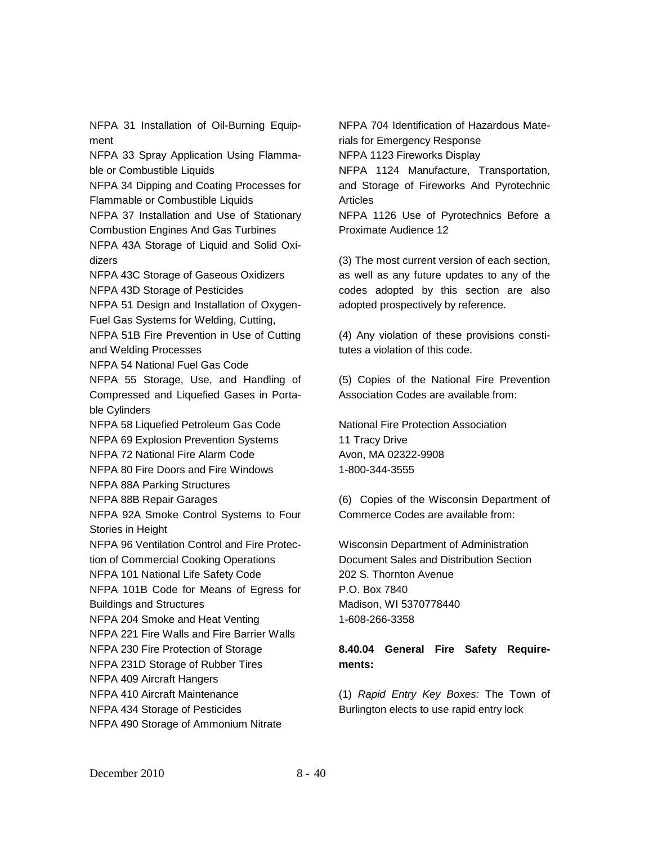NFPA 31 Installation of Oil-Burning Equipment NFPA 33 Spray Application Using Flammable or Combustible Liquids NFPA 34 Dipping and Coating Processes for Flammable or Combustible Liquids NFPA 37 Installation and Use of Stationary Combustion Engines And Gas Turbines NFPA 43A Storage of Liquid and Solid Oxidizers NFPA 43C Storage of Gaseous Oxidizers NFPA 43D Storage of Pesticides NFPA 51 Design and Installation of Oxygen-Fuel Gas Systems for Welding, Cutting, NFPA 51B Fire Prevention in Use of Cutting and Welding Processes NFPA 54 National Fuel Gas Code NFPA 55 Storage, Use, and Handling of Compressed and Liquefied Gases in Portable Cylinders NFPA 58 Liquefied Petroleum Gas Code NFPA 69 Explosion Prevention Systems NFPA 72 National Fire Alarm Code NFPA 80 Fire Doors and Fire Windows NFPA 88A Parking Structures NFPA 88B Repair Garages NFPA 92A Smoke Control Systems to Four Stories in Height NFPA 96 Ventilation Control and Fire Protection of Commercial Cooking Operations NFPA 101 National Life Safety Code NFPA 101B Code for Means of Egress for Buildings and Structures NFPA 204 Smoke and Heat Venting NFPA 221 Fire Walls and Fire Barrier Walls NFPA 230 Fire Protection of Storage NFPA 231D Storage of Rubber Tires NFPA 409 Aircraft Hangers NFPA 410 Aircraft Maintenance NFPA 434 Storage of Pesticides NFPA 490 Storage of Ammonium Nitrate

NFPA 704 Identification of Hazardous Materials for Emergency Response NFPA 1123 Fireworks Display NFPA 1124 Manufacture, Transportation,

and Storage of Fireworks And Pyrotechnic Articles

NFPA 1126 Use of Pyrotechnics Before a Proximate Audience 12

(3) The most current version of each section, as well as any future updates to any of the codes adopted by this section are also adopted prospectively by reference.

(4) Any violation of these provisions constitutes a violation of this code.

(5) Copies of the National Fire Prevention Association Codes are available from:

National Fire Protection Association 11 Tracy Drive Avon, MA 02322-9908 1-800-344-3555

(6) Copies of the Wisconsin Department of Commerce Codes are available from:

Wisconsin Department of Administration Document Sales and Distribution Section 202 S. Thornton Avenue P.O. Box 7840 Madison, WI 5370778440 1-608-266-3358

# **8.40.04 General Fire Safety Requirements:**

(1) *Rapid Entry Key Boxes:* The Town of Burlington elects to use rapid entry lock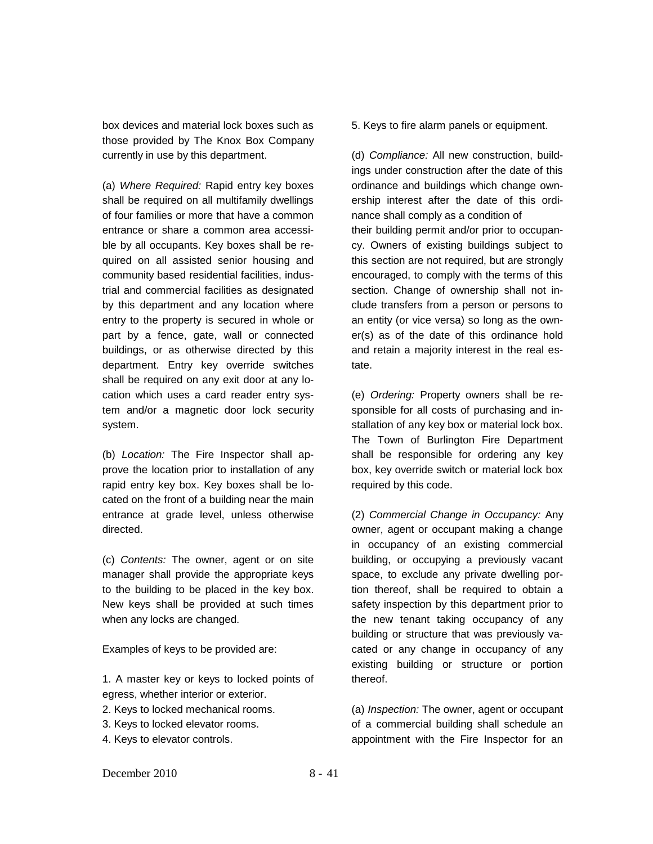box devices and material lock boxes such as those provided by The Knox Box Company currently in use by this department.

(a) *Where Required:* Rapid entry key boxes shall be required on all multifamily dwellings of four families or more that have a common entrance or share a common area accessible by all occupants. Key boxes shall be required on all assisted senior housing and community based residential facilities, industrial and commercial facilities as designated by this department and any location where entry to the property is secured in whole or part by a fence, gate, wall or connected buildings, or as otherwise directed by this department. Entry key override switches shall be required on any exit door at any location which uses a card reader entry system and/or a magnetic door lock security system.

(b) *Location:* The Fire Inspector shall approve the location prior to installation of any rapid entry key box. Key boxes shall be located on the front of a building near the main entrance at grade level, unless otherwise directed.

(c) *Contents:* The owner, agent or on site manager shall provide the appropriate keys to the building to be placed in the key box. New keys shall be provided at such times when any locks are changed.

Examples of keys to be provided are:

1. A master key or keys to locked points of egress, whether interior or exterior.

- 2. Keys to locked mechanical rooms.
- 3. Keys to locked elevator rooms.
- 4. Keys to elevator controls.

5. Keys to fire alarm panels or equipment.

(d) *Compliance:* All new construction, buildings under construction after the date of this ordinance and buildings which change ownership interest after the date of this ordinance shall comply as a condition of their building permit and/or prior to occupancy. Owners of existing buildings subject to this section are not required, but are strongly encouraged, to comply with the terms of this section. Change of ownership shall not include transfers from a person or persons to an entity (or vice versa) so long as the owner(s) as of the date of this ordinance hold and retain a majority interest in the real estate.

(e) *Ordering:* Property owners shall be responsible for all costs of purchasing and installation of any key box or material lock box. The Town of Burlington Fire Department shall be responsible for ordering any key box, key override switch or material lock box required by this code.

(2) *Commercial Change in Occupancy:* Any owner, agent or occupant making a change in occupancy of an existing commercial building, or occupying a previously vacant space, to exclude any private dwelling portion thereof, shall be required to obtain a safety inspection by this department prior to the new tenant taking occupancy of any building or structure that was previously vacated or any change in occupancy of any existing building or structure or portion thereof.

(a) *Inspection:* The owner, agent or occupant of a commercial building shall schedule an appointment with the Fire Inspector for an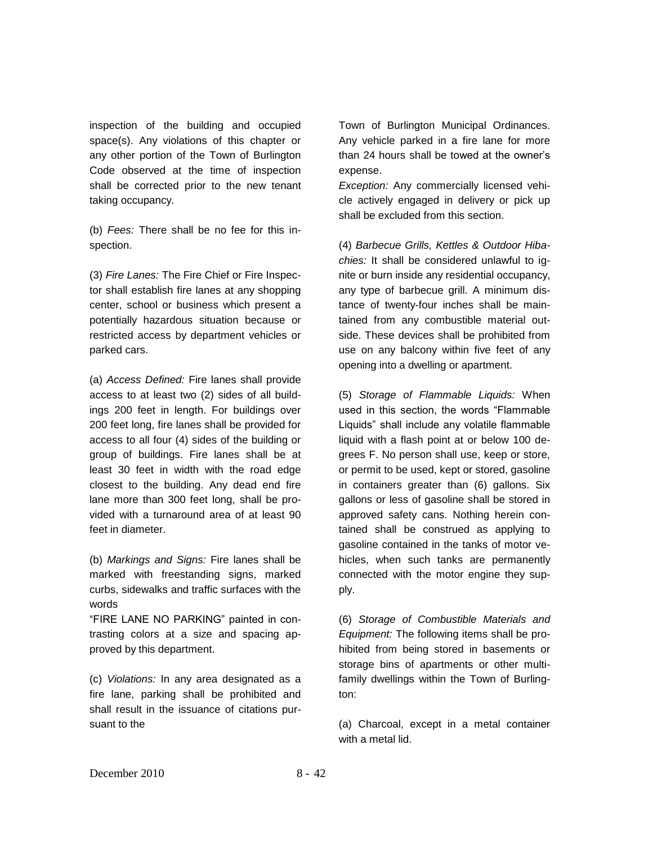inspection of the building and occupied space(s). Any violations of this chapter or any other portion of the Town of Burlington Code observed at the time of inspection shall be corrected prior to the new tenant taking occupancy.

(b) *Fees:* There shall be no fee for this inspection.

(3) *Fire Lanes:* The Fire Chief or Fire Inspector shall establish fire lanes at any shopping center, school or business which present a potentially hazardous situation because or restricted access by department vehicles or parked cars.

(a) *Access Defined:* Fire lanes shall provide access to at least two (2) sides of all buildings 200 feet in length. For buildings over 200 feet long, fire lanes shall be provided for access to all four (4) sides of the building or group of buildings. Fire lanes shall be at least 30 feet in width with the road edge closest to the building. Any dead end fire lane more than 300 feet long, shall be provided with a turnaround area of at least 90 feet in diameter.

(b) *Markings and Signs:* Fire lanes shall be marked with freestanding signs, marked curbs, sidewalks and traffic surfaces with the words

"FIRE LANE NO PARKING" painted in contrasting colors at a size and spacing approved by this department.

(c) *Violations:* In any area designated as a fire lane, parking shall be prohibited and shall result in the issuance of citations pursuant to the

Town of Burlington Municipal Ordinances. Any vehicle parked in a fire lane for more than 24 hours shall be towed at the owner's expense.

*Exception:* Any commercially licensed vehicle actively engaged in delivery or pick up shall be excluded from this section.

(4) *Barbecue Grills, Kettles & Outdoor Hibachies:* It shall be considered unlawful to ignite or burn inside any residential occupancy, any type of barbecue grill. A minimum distance of twenty-four inches shall be maintained from any combustible material outside. These devices shall be prohibited from use on any balcony within five feet of any opening into a dwelling or apartment.

(5) *Storage of Flammable Liquids:* When used in this section, the words "Flammable Liquids" shall include any volatile flammable liquid with a flash point at or below 100 degrees F. No person shall use, keep or store, or permit to be used, kept or stored, gasoline in containers greater than (6) gallons. Six gallons or less of gasoline shall be stored in approved safety cans. Nothing herein contained shall be construed as applying to gasoline contained in the tanks of motor vehicles, when such tanks are permanently connected with the motor engine they supply.

(6) *Storage of Combustible Materials and Equipment:* The following items shall be prohibited from being stored in basements or storage bins of apartments or other multifamily dwellings within the Town of Burlington:

(a) Charcoal, except in a metal container with a metal lid.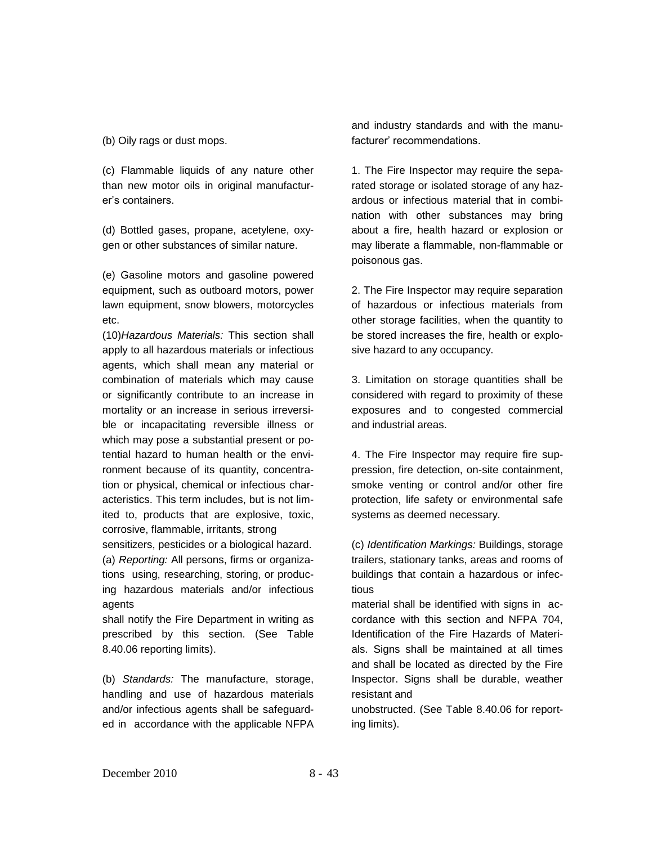(b) Oily rags or dust mops.

(c) Flammable liquids of any nature other than new motor oils in original manufacturer's containers.

(d) Bottled gases, propane, acetylene, oxygen or other substances of similar nature.

(e) Gasoline motors and gasoline powered equipment, such as outboard motors, power lawn equipment, snow blowers, motorcycles etc.

(10)*Hazardous Materials:* This section shall apply to all hazardous materials or infectious agents, which shall mean any material or combination of materials which may cause or significantly contribute to an increase in mortality or an increase in serious irreversible or incapacitating reversible illness or which may pose a substantial present or potential hazard to human health or the environment because of its quantity, concentration or physical, chemical or infectious characteristics. This term includes, but is not limited to, products that are explosive, toxic, corrosive, flammable, irritants, strong

sensitizers, pesticides or a biological hazard. (a) *Reporting:* All persons, firms or organizations using, researching, storing, or producing hazardous materials and/or infectious agents

shall notify the Fire Department in writing as prescribed by this section. (See Table 8.40.06 reporting limits).

(b) *Standards:* The manufacture, storage, handling and use of hazardous materials and/or infectious agents shall be safeguarded in accordance with the applicable NFPA

and industry standards and with the manufacturer' recommendations.

1. The Fire Inspector may require the separated storage or isolated storage of any hazardous or infectious material that in combination with other substances may bring about a fire, health hazard or explosion or may liberate a flammable, non-flammable or poisonous gas.

2. The Fire Inspector may require separation of hazardous or infectious materials from other storage facilities, when the quantity to be stored increases the fire, health or explosive hazard to any occupancy.

3. Limitation on storage quantities shall be considered with regard to proximity of these exposures and to congested commercial and industrial areas.

4. The Fire Inspector may require fire suppression, fire detection, on-site containment, smoke venting or control and/or other fire protection, life safety or environmental safe systems as deemed necessary.

(c) *Identification Markings:* Buildings, storage trailers, stationary tanks, areas and rooms of buildings that contain a hazardous or infectious

material shall be identified with signs in accordance with this section and NFPA 704, Identification of the Fire Hazards of Materials. Signs shall be maintained at all times and shall be located as directed by the Fire Inspector. Signs shall be durable, weather resistant and

unobstructed. (See Table 8.40.06 for reporting limits).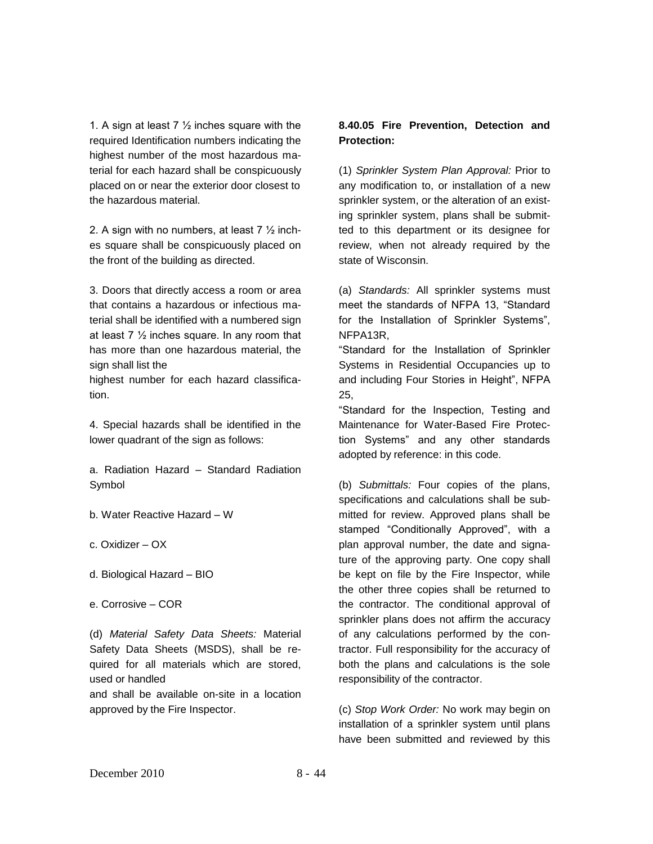1. A sign at least 7  $\frac{1}{2}$  inches square with the required Identification numbers indicating the highest number of the most hazardous material for each hazard shall be conspicuously placed on or near the exterior door closest to the hazardous material.

2. A sign with no numbers, at least  $7\frac{1}{2}$  inches square shall be conspicuously placed on the front of the building as directed.

3. Doors that directly access a room or area that contains a hazardous or infectious material shall be identified with a numbered sign at least 7 ½ inches square. In any room that has more than one hazardous material, the sign shall list the

highest number for each hazard classification.

4. Special hazards shall be identified in the lower quadrant of the sign as follows:

a. Radiation Hazard – Standard Radiation Symbol

b. Water Reactive Hazard – W

c. Oxidizer – OX

d. Biological Hazard – BIO

e. Corrosive – COR

(d) *Material Safety Data Sheets:* Material Safety Data Sheets (MSDS), shall be required for all materials which are stored, used or handled

and shall be available on-site in a location approved by the Fire Inspector.

## **8.40.05 Fire Prevention, Detection and Protection:**

(1) *Sprinkler System Plan Approval:* Prior to any modification to, or installation of a new sprinkler system, or the alteration of an existing sprinkler system, plans shall be submitted to this department or its designee for review, when not already required by the state of Wisconsin.

(a) *Standards:* All sprinkler systems must meet the standards of NFPA 13, "Standard for the Installation of Sprinkler Systems", NFPA13R,

"Standard for the Installation of Sprinkler Systems in Residential Occupancies up to and including Four Stories in Height", NFPA 25,

"Standard for the Inspection, Testing and Maintenance for Water-Based Fire Protection Systems" and any other standards adopted by reference: in this code.

(b) *Submittals:* Four copies of the plans, specifications and calculations shall be submitted for review. Approved plans shall be stamped "Conditionally Approved", with a plan approval number, the date and signature of the approving party. One copy shall be kept on file by the Fire Inspector, while the other three copies shall be returned to the contractor. The conditional approval of sprinkler plans does not affirm the accuracy of any calculations performed by the contractor. Full responsibility for the accuracy of both the plans and calculations is the sole responsibility of the contractor.

(c) *Stop Work Order:* No work may begin on installation of a sprinkler system until plans have been submitted and reviewed by this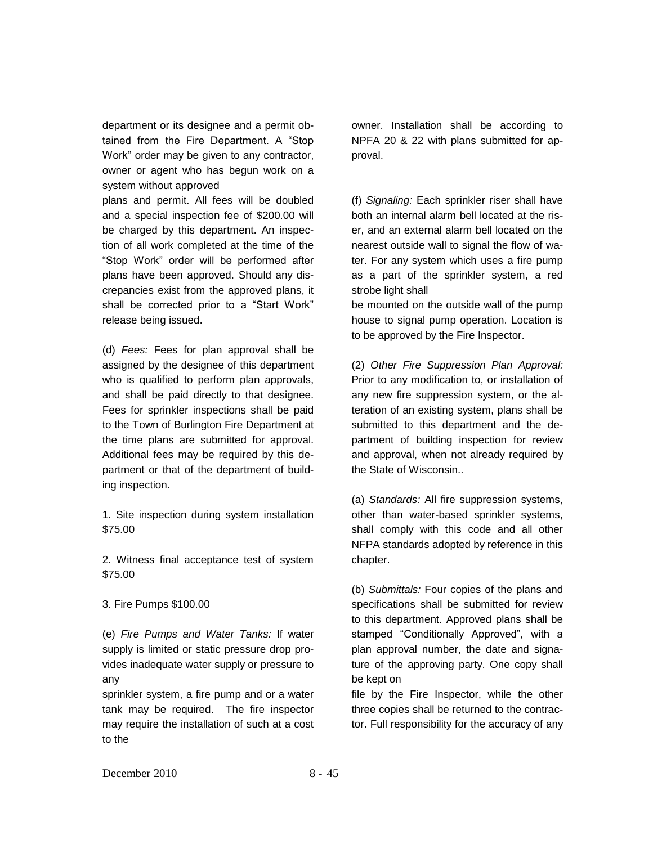department or its designee and a permit obtained from the Fire Department. A "Stop Work" order may be given to any contractor, owner or agent who has begun work on a system without approved

plans and permit. All fees will be doubled and a special inspection fee of \$200.00 will be charged by this department. An inspection of all work completed at the time of the "Stop Work" order will be performed after plans have been approved. Should any discrepancies exist from the approved plans, it shall be corrected prior to a "Start Work" release being issued.

(d) *Fees:* Fees for plan approval shall be assigned by the designee of this department who is qualified to perform plan approvals, and shall be paid directly to that designee. Fees for sprinkler inspections shall be paid to the Town of Burlington Fire Department at the time plans are submitted for approval. Additional fees may be required by this department or that of the department of building inspection.

1. Site inspection during system installation \$75.00

2. Witness final acceptance test of system \$75.00

3. Fire Pumps \$100.00

(e) *Fire Pumps and Water Tanks:* If water supply is limited or static pressure drop provides inadequate water supply or pressure to any

sprinkler system, a fire pump and or a water tank may be required. The fire inspector may require the installation of such at a cost to the

owner. Installation shall be according to NPFA 20 & 22 with plans submitted for approval.

(f) *Signaling:* Each sprinkler riser shall have both an internal alarm bell located at the riser, and an external alarm bell located on the nearest outside wall to signal the flow of water. For any system which uses a fire pump as a part of the sprinkler system, a red strobe light shall

be mounted on the outside wall of the pump house to signal pump operation. Location is to be approved by the Fire Inspector.

(2) *Other Fire Suppression Plan Approval:*  Prior to any modification to, or installation of any new fire suppression system, or the alteration of an existing system, plans shall be submitted to this department and the department of building inspection for review and approval, when not already required by the State of Wisconsin..

(a) *Standards:* All fire suppression systems, other than water-based sprinkler systems, shall comply with this code and all other NFPA standards adopted by reference in this chapter.

(b) *Submittals:* Four copies of the plans and specifications shall be submitted for review to this department. Approved plans shall be stamped "Conditionally Approved", with a plan approval number, the date and signature of the approving party. One copy shall be kept on

file by the Fire Inspector, while the other three copies shall be returned to the contractor. Full responsibility for the accuracy of any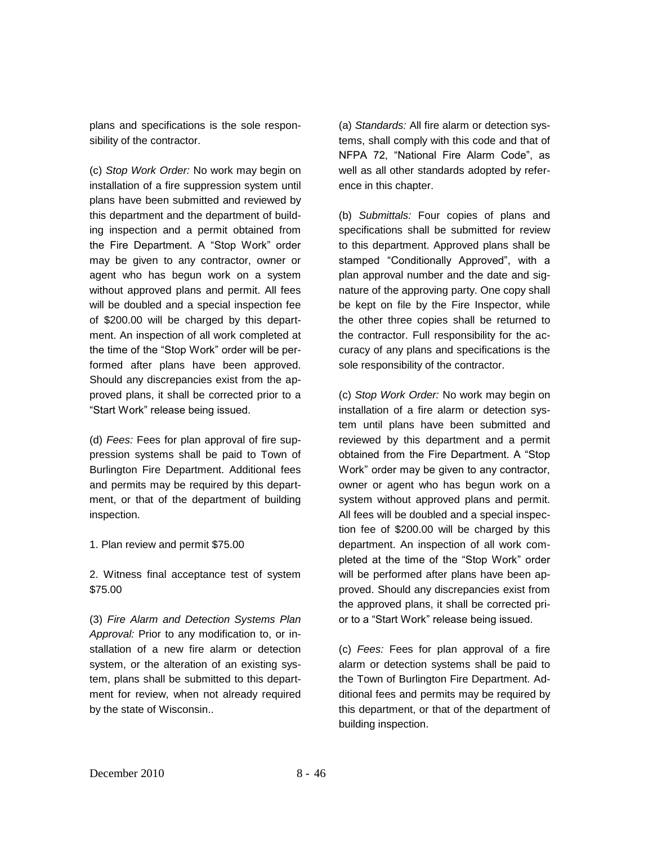plans and specifications is the sole responsibility of the contractor.

(c) *Stop Work Order:* No work may begin on installation of a fire suppression system until plans have been submitted and reviewed by this department and the department of building inspection and a permit obtained from the Fire Department. A "Stop Work" order may be given to any contractor, owner or agent who has begun work on a system without approved plans and permit. All fees will be doubled and a special inspection fee of \$200.00 will be charged by this department. An inspection of all work completed at the time of the "Stop Work" order will be performed after plans have been approved. Should any discrepancies exist from the approved plans, it shall be corrected prior to a "Start Work" release being issued.

(d) *Fees:* Fees for plan approval of fire suppression systems shall be paid to Town of Burlington Fire Department. Additional fees and permits may be required by this department, or that of the department of building inspection.

1. Plan review and permit \$75.00

2. Witness final acceptance test of system \$75.00

(3) *Fire Alarm and Detection Systems Plan Approval:* Prior to any modification to, or installation of a new fire alarm or detection system, or the alteration of an existing system, plans shall be submitted to this department for review, when not already required by the state of Wisconsin..

(a) *Standards:* All fire alarm or detection systems, shall comply with this code and that of NFPA 72, "National Fire Alarm Code", as well as all other standards adopted by reference in this chapter.

(b) *Submittals:* Four copies of plans and specifications shall be submitted for review to this department. Approved plans shall be stamped "Conditionally Approved", with a plan approval number and the date and signature of the approving party. One copy shall be kept on file by the Fire Inspector, while the other three copies shall be returned to the contractor. Full responsibility for the accuracy of any plans and specifications is the sole responsibility of the contractor.

(c) *Stop Work Order:* No work may begin on installation of a fire alarm or detection system until plans have been submitted and reviewed by this department and a permit obtained from the Fire Department. A "Stop Work" order may be given to any contractor, owner or agent who has begun work on a system without approved plans and permit. All fees will be doubled and a special inspection fee of \$200.00 will be charged by this department. An inspection of all work completed at the time of the "Stop Work" order will be performed after plans have been approved. Should any discrepancies exist from the approved plans, it shall be corrected prior to a "Start Work" release being issued.

(c) *Fees:* Fees for plan approval of a fire alarm or detection systems shall be paid to the Town of Burlington Fire Department. Additional fees and permits may be required by this department, or that of the department of building inspection.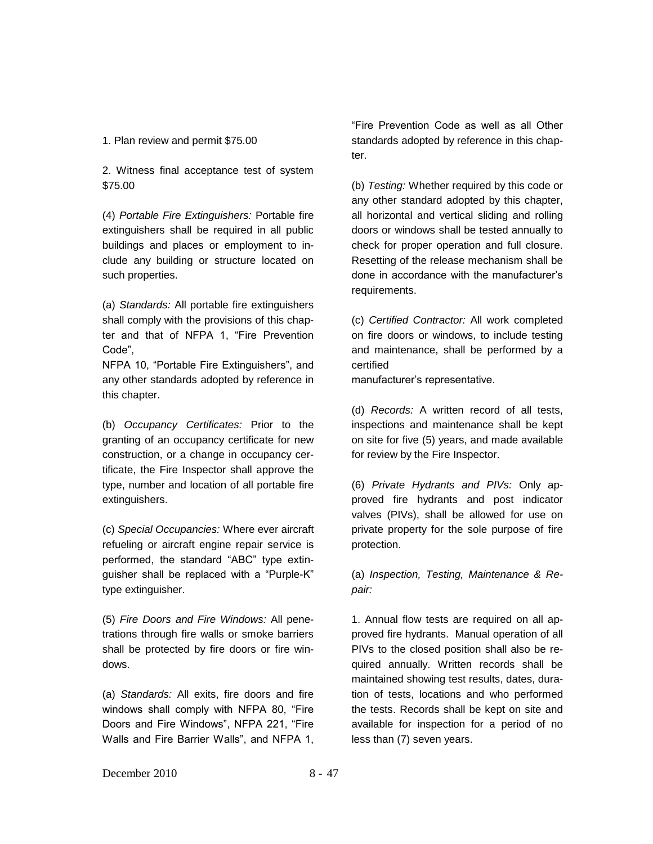### 1. Plan review and permit \$75.00

2. Witness final acceptance test of system \$75.00

(4) *Portable Fire Extinguishers:* Portable fire extinguishers shall be required in all public buildings and places or employment to include any building or structure located on such properties.

(a) *Standards:* All portable fire extinguishers shall comply with the provisions of this chapter and that of NFPA 1, "Fire Prevention Code",

NFPA 10, "Portable Fire Extinguishers", and any other standards adopted by reference in this chapter.

(b) *Occupancy Certificates:* Prior to the granting of an occupancy certificate for new construction, or a change in occupancy certificate, the Fire Inspector shall approve the type, number and location of all portable fire extinguishers.

(c) *Special Occupancies:* Where ever aircraft refueling or aircraft engine repair service is performed, the standard "ABC" type extinguisher shall be replaced with a "Purple-K" type extinguisher.

(5) *Fire Doors and Fire Windows:* All penetrations through fire walls or smoke barriers shall be protected by fire doors or fire windows.

(a) *Standards:* All exits, fire doors and fire windows shall comply with NFPA 80, "Fire Doors and Fire Windows", NFPA 221, "Fire Walls and Fire Barrier Walls", and NFPA 1,

"Fire Prevention Code as well as all Other standards adopted by reference in this chapter.

(b) *Testing:* Whether required by this code or any other standard adopted by this chapter, all horizontal and vertical sliding and rolling doors or windows shall be tested annually to check for proper operation and full closure. Resetting of the release mechanism shall be done in accordance with the manufacturer's requirements.

(c) *Certified Contractor:* All work completed on fire doors or windows, to include testing and maintenance, shall be performed by a certified

manufacturer's representative.

(d) *Records:* A written record of all tests, inspections and maintenance shall be kept on site for five (5) years, and made available for review by the Fire Inspector.

(6) *Private Hydrants and PIVs:* Only approved fire hydrants and post indicator valves (PIVs), shall be allowed for use on private property for the sole purpose of fire protection.

(a) *Inspection, Testing, Maintenance & Repair:*

1. Annual flow tests are required on all approved fire hydrants. Manual operation of all PIVs to the closed position shall also be required annually. Written records shall be maintained showing test results, dates, duration of tests, locations and who performed the tests. Records shall be kept on site and available for inspection for a period of no less than (7) seven years.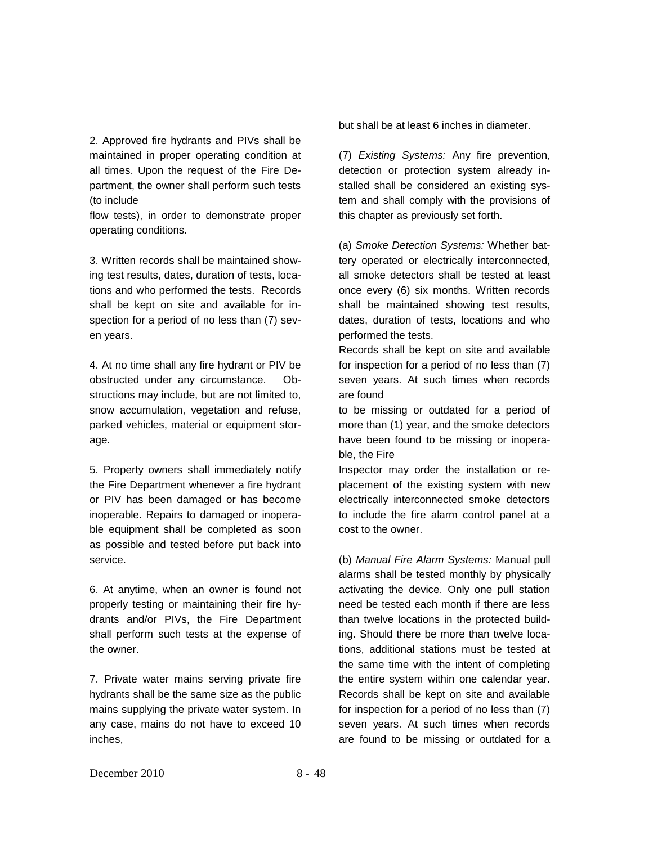2. Approved fire hydrants and PIVs shall be maintained in proper operating condition at all times. Upon the request of the Fire Department, the owner shall perform such tests (to include

flow tests), in order to demonstrate proper operating conditions.

3. Written records shall be maintained showing test results, dates, duration of tests, locations and who performed the tests. Records shall be kept on site and available for inspection for a period of no less than (7) seven years.

4. At no time shall any fire hydrant or PIV be obstructed under any circumstance. Obstructions may include, but are not limited to, snow accumulation, vegetation and refuse, parked vehicles, material or equipment storage.

5. Property owners shall immediately notify the Fire Department whenever a fire hydrant or PIV has been damaged or has become inoperable. Repairs to damaged or inoperable equipment shall be completed as soon as possible and tested before put back into service.

6. At anytime, when an owner is found not properly testing or maintaining their fire hydrants and/or PIVs, the Fire Department shall perform such tests at the expense of the owner.

7. Private water mains serving private fire hydrants shall be the same size as the public mains supplying the private water system. In any case, mains do not have to exceed 10 inches,

but shall be at least 6 inches in diameter.

(7) *Existing Systems:* Any fire prevention, detection or protection system already installed shall be considered an existing system and shall comply with the provisions of this chapter as previously set forth.

(a) *Smoke Detection Systems:* Whether battery operated or electrically interconnected, all smoke detectors shall be tested at least once every (6) six months. Written records shall be maintained showing test results, dates, duration of tests, locations and who performed the tests.

Records shall be kept on site and available for inspection for a period of no less than (7) seven years. At such times when records are found

to be missing or outdated for a period of more than (1) year, and the smoke detectors have been found to be missing or inoperable, the Fire

Inspector may order the installation or replacement of the existing system with new electrically interconnected smoke detectors to include the fire alarm control panel at a cost to the owner.

(b) *Manual Fire Alarm Systems:* Manual pull alarms shall be tested monthly by physically activating the device. Only one pull station need be tested each month if there are less than twelve locations in the protected building. Should there be more than twelve locations, additional stations must be tested at the same time with the intent of completing the entire system within one calendar year. Records shall be kept on site and available for inspection for a period of no less than (7) seven years. At such times when records are found to be missing or outdated for a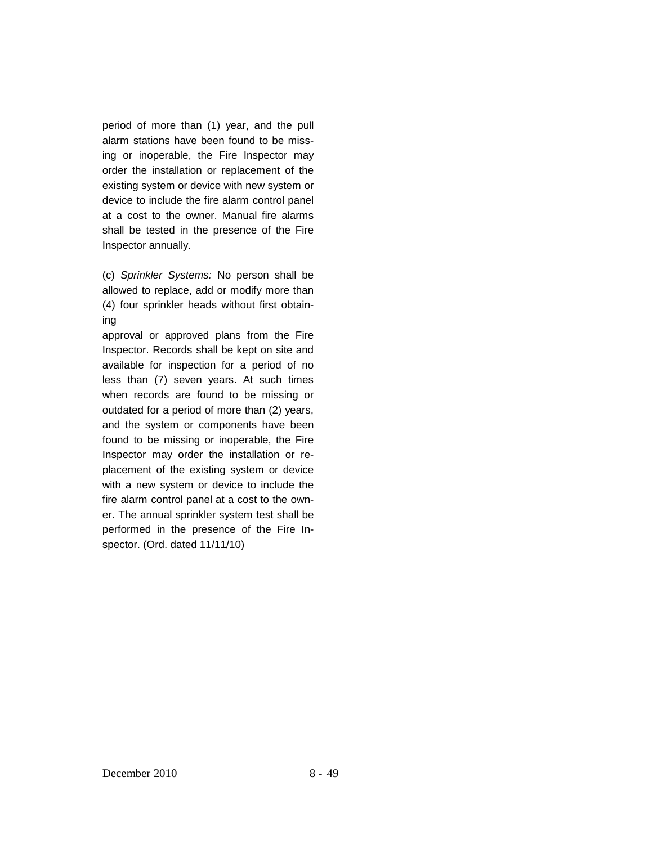period of more than (1) year, and the pull alarm stations have been found to be missing or inoperable, the Fire Inspector may order the installation or replacement of the existing system or device with new system or device to include the fire alarm control panel at a cost to the owner. Manual fire alarms shall be tested in the presence of the Fire Inspector annually.

(c) *Sprinkler Systems:* No person shall be allowed to replace, add or modify more than (4) four sprinkler heads without first obtaining

approval or approved plans from the Fire Inspector. Records shall be kept on site and available for inspection for a period of no less than (7) seven years. At such times when records are found to be missing or outdated for a period of more than (2) years, and the system or components have been found to be missing or inoperable, the Fire Inspector may order the installation or replacement of the existing system or device with a new system or device to include the fire alarm control panel at a cost to the owner. The annual sprinkler system test shall be performed in the presence of the Fire Inspector. (Ord. dated 11/11/10)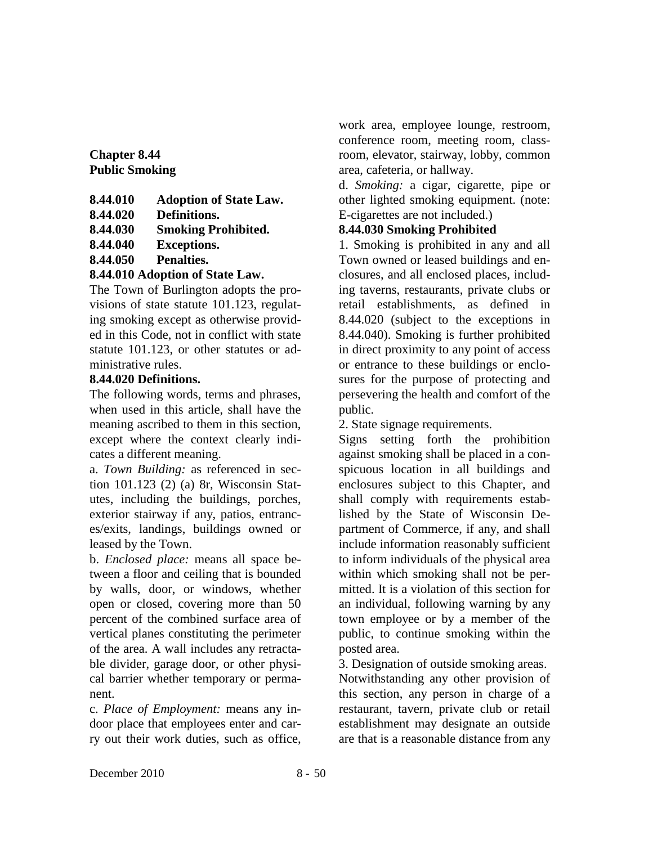**Chapter 8.44 Public Smoking**

| 8.44.010 | <b>Adoption of State Law.</b> |
|----------|-------------------------------|
| 8.44.020 | Definitions.                  |
| 8.44.030 | <b>Smoking Prohibited.</b>    |
| 8.44.040 | <b>Exceptions.</b>            |
| 8.44.050 | Penalties.                    |
|          | 0.44.010.4.3438045            |

# **8.44.010 Adoption of State Law.**

The Town of Burlington adopts the provisions of state statute 101.123, regulating smoking except as otherwise provided in this Code, not in conflict with state statute 101.123, or other statutes or administrative rules.

# **8.44.020 Definitions.**

The following words, terms and phrases, when used in this article, shall have the meaning ascribed to them in this section, except where the context clearly indicates a different meaning.

a. *Town Building:* as referenced in section 101.123 (2) (a) 8r, Wisconsin Statutes, including the buildings, porches, exterior stairway if any, patios, entrances/exits, landings, buildings owned or leased by the Town.

b. *Enclosed place:* means all space between a floor and ceiling that is bounded by walls, door, or windows, whether open or closed, covering more than 50 percent of the combined surface area of vertical planes constituting the perimeter of the area. A wall includes any retractable divider, garage door, or other physical barrier whether temporary or permanent.

c. *Place of Employment:* means any indoor place that employees enter and carry out their work duties, such as office,

work area, employee lounge, restroom, conference room, meeting room, classroom, elevator, stairway, lobby, common area, cafeteria, or hallway.

d. *Smoking:* a cigar, cigarette, pipe or other lighted smoking equipment. (note: E-cigarettes are not included.)

# **8.44.030 Smoking Prohibited**

1. Smoking is prohibited in any and all Town owned or leased buildings and enclosures, and all enclosed places, including taverns, restaurants, private clubs or retail establishments, as defined in 8.44.020 (subject to the exceptions in 8.44.040). Smoking is further prohibited in direct proximity to any point of access or entrance to these buildings or enclosures for the purpose of protecting and persevering the health and comfort of the public.

2. State signage requirements.

Signs setting forth the prohibition against smoking shall be placed in a conspicuous location in all buildings and enclosures subject to this Chapter, and shall comply with requirements established by the State of Wisconsin Department of Commerce, if any, and shall include information reasonably sufficient to inform individuals of the physical area within which smoking shall not be permitted. It is a violation of this section for an individual, following warning by any town employee or by a member of the public, to continue smoking within the posted area.

3. Designation of outside smoking areas. Notwithstanding any other provision of this section, any person in charge of a restaurant, tavern, private club or retail establishment may designate an outside are that is a reasonable distance from any